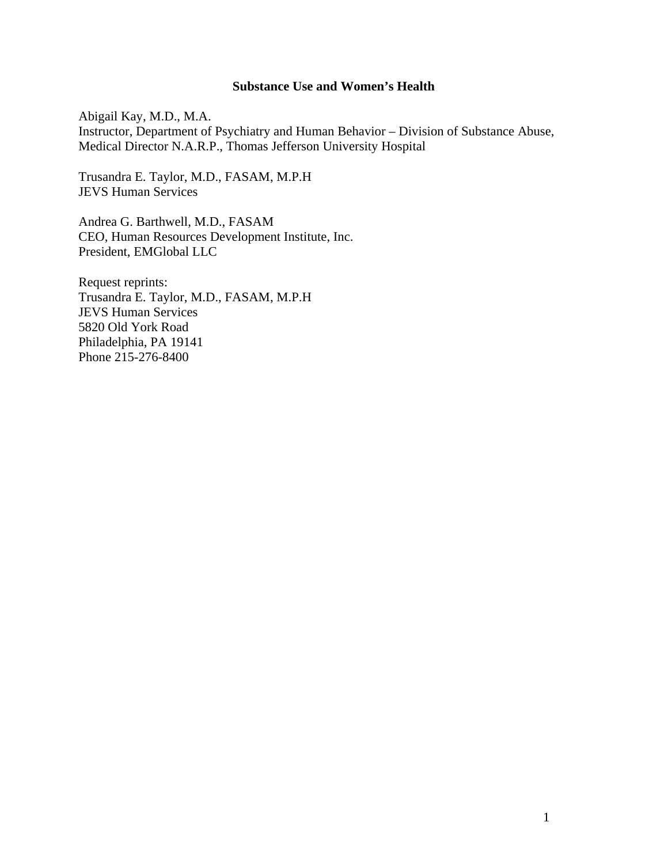### **Substance Use and Women's Health**

Abigail Kay, M.D., M.A. Instructor, Department of Psychiatry and Human Behavior – Division of Substance Abuse, Medical Director N.A.R.P., Thomas Jefferson University Hospital

Trusandra E. Taylor, M.D., FASAM, M.P.H JEVS Human Services

Andrea G. Barthwell, M.D., FASAM CEO, Human Resources Development Institute, Inc. President, EMGlobal LLC

Request reprints: Trusandra E. Taylor, M.D., FASAM, M.P.H JEVS Human Services 5820 Old York Road Philadelphia, PA 19141 Phone 215-276-8400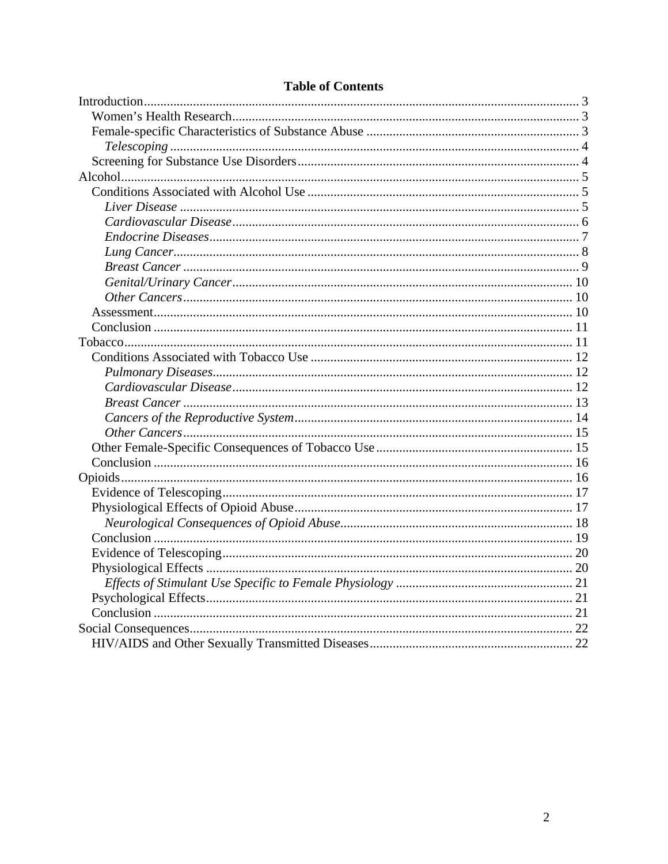# **Table of Contents**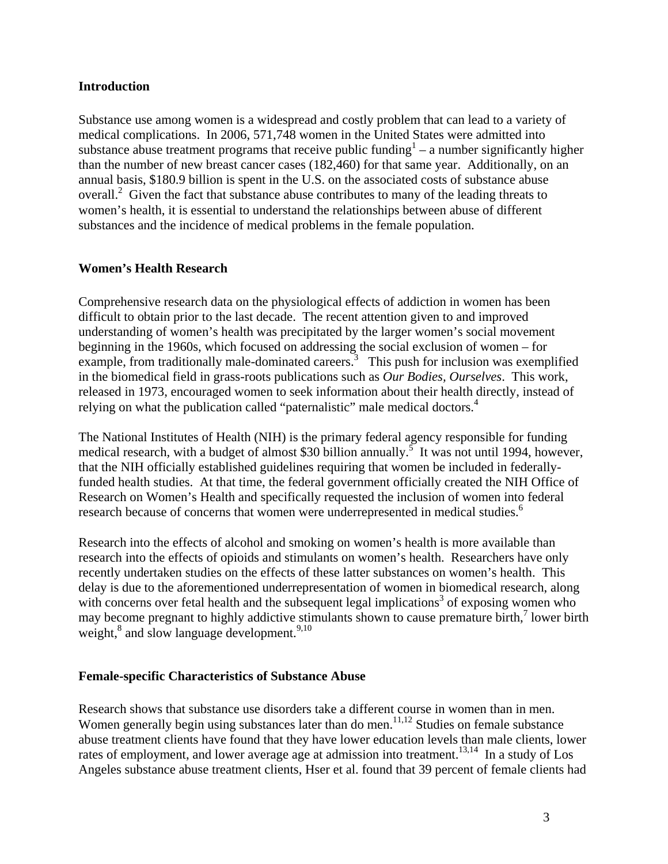### <span id="page-2-1"></span><span id="page-2-0"></span>**Introduction**

Substance use among women is a widespread and costly problem that can lead to a variety of medical complications. In 2006, 571,748 women in the United States were admitted into substance abuse treatment programs that receive public funding  $1 - a$  number significantly higher than the number of new breast cancer cases (182,460) for that same year. Additionally, on an annual basis, \$180.9 billion is spent in the U.S. on the associated costs of substance abuse overall.<sup>2</sup> Given the fact that substance abuse contributes to many of the leading threats to women's health, it is essential to understand the relationships between abuse of different substances and the incidence of medical problems in the female population.

# <span id="page-2-2"></span>**Women's Health Research**

Comprehensive research data on the physiological effects of addiction in women has been difficult to obtain prior to the last decade. The recent attention given to and improved understanding of women's health was precipitated by the larger women's social movement beginning in the 1960s, which focused on addressing the social exclusion of women – for example, from traditionally male-dominated careers.<sup>3</sup> This push for inclusion was exemplified in the biomedical field in grass-roots publications such as *Our Bodies, Ourselves*. This work, released in 1973, encouraged women to seek information about their health directly, instead of relying on what the publication called "paternalistic" male medical doctors.<sup>4</sup>

The National Institutes of Health (NIH) is the primary federal agency responsible for funding medical research, with a budget of almost \$30 billion annually.<sup>5</sup> It was not until 1994, however, that the NIH officially established guidelines requiring that women be included in federallyfunded health studies. At that time, the federal government officially created the NIH Office of Research on Women's Health and specifically requested the inclusion of women into federal research because of concerns that women were underrepresented in medical studies.<sup>6</sup>

Research into the effects of alcohol and smoking on women's health is more available than research into the effects of opioids and stimulants on women's health. Researchers have only recently undertaken studies on the effects of these latter substances on women's health. This delay is due to the aforementioned underrepresentation of women in biomedical research, along with concerns over fetal health and the subsequent legal implications<sup>3</sup> of exposing women who may become pregnant to highly addictive stimulants shown to cause premature birth, $\frac{7}{1}$  lower birth weight,<sup>8</sup> and slow language development.<sup>9,10</sup>

#### <span id="page-2-3"></span>**Female-specific Characteristics of Substance Abuse**

Research shows that substance use disorders take a different course in women than in men. Women generally begin using substances later than do men.<sup>11,12</sup> Studies on female substance abuse treatment clients have found that they have lower education levels than male clients, lower rates of employment, and lower average age at admission into treatment.<sup>13,14</sup> In a study of Los Angeles substance abuse treatment clients, Hser et al. found that 39 percent of female clients had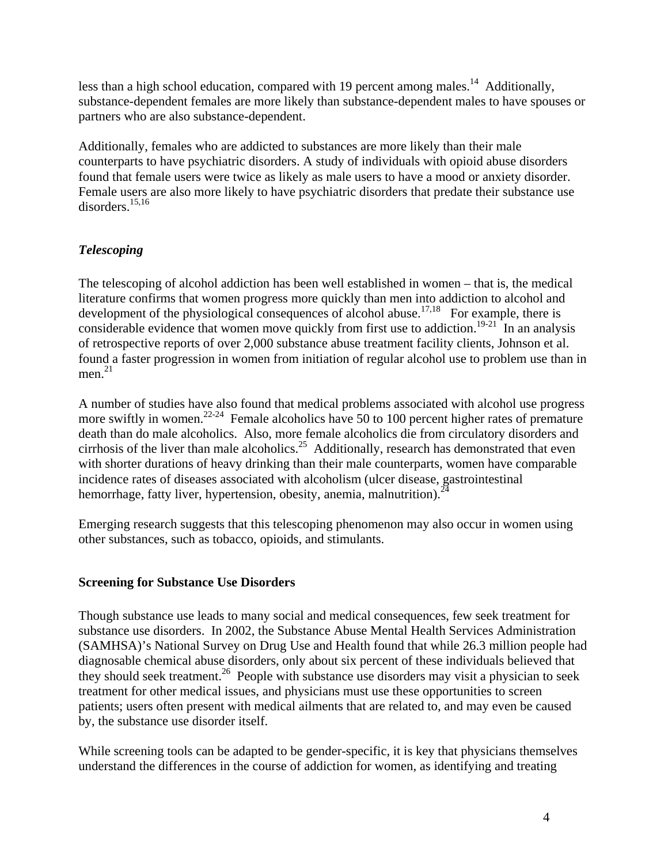<span id="page-3-0"></span>less than a high school education, compared with 19 percent among males.<sup>14</sup> Additionally, substance-dependent females are more likely than substance-dependent males to have spouses or partners who are also substance-dependent.

Additionally, females who are addicted to substances are more likely than their male counterparts to have psychiatric disorders. A study of individuals with opioid abuse disorders found that female users were twice as likely as male users to have a mood or anxiety disorder. Female users are also more likely to have psychiatric disorders that predate their substance use disorders.15,16

# <span id="page-3-1"></span>*Telescoping*

The telescoping of alcohol addiction has been well established in women – that is, the medical literature confirms that women progress more quickly than men into addiction to alcohol and development of the physiological consequences of alcohol abuse.<sup>17,18</sup> For example, there is considerable evidence that women move quickly from first use to addiction.<sup>19-21</sup> In an analysis of retrospective reports of over 2,000 substance abuse treatment facility clients, Johnson et al. found a faster progression in women from initiation of regular alcohol use to problem use than in men. 21

A number of studies have also found that medical problems associated with alcohol use progress more swiftly in women.<sup>22-24</sup> Female alcoholics have 50 to 100 percent higher rates of premature death than do male alcoholics. Also, more female alcoholics die from circulatory disorders and cirrhosis of the liver than male alcoholics.<sup>25</sup> Additionally, research has demonstrated that even with shorter durations of heavy drinking than their male counterparts, women have comparable incidence rates of diseases associated with alcoholism (ulcer disease, gastrointestinal hemorrhage, fatty liver, hypertension, obesity, anemia, malnutrition).  $24$ 

Emerging research suggests that this telescoping phenomenon may also occur in women using other substances, such as tobacco, opioids, and stimulants.

# <span id="page-3-2"></span>**Screening for Substance Use Disorders**

Though substance use leads to many social and medical consequences, few seek treatment for substance use disorders. In 2002, the Substance Abuse Mental Health Services Administration (SAMHSA)'s National Survey on Drug Use and Health found that while 26.3 million people had diagnosable chemical abuse disorders, only about six percent of these individuals believed that they should seek treatment.<sup>26</sup> People with substance use disorders may visit a physician to seek treatment for other medical issues, and physicians must use these opportunities to screen patients; users often present with medical ailments that are related to, and may even be caused by, the substance use disorder itself.

While screening tools can be adapted to be gender-specific, it is key that physicians themselves understand the differences in the course of addiction for women, as identifying and treating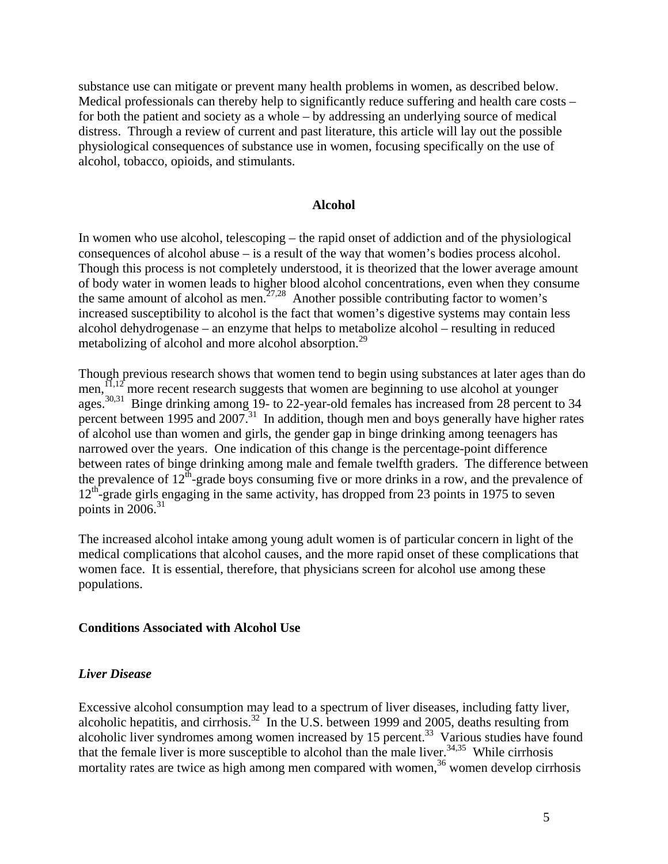<span id="page-4-0"></span>substance use can mitigate or prevent many health problems in women, as described below. Medical professionals can thereby help to significantly reduce suffering and health care costs – for both the patient and society as a whole – by addressing an underlying source of medical distress. Through a review of current and past literature, this article will lay out the possible physiological consequences of substance use in women, focusing specifically on the use of alcohol, tobacco, opioids, and stimulants.

#### **Alcohol**

<span id="page-4-1"></span>In women who use alcohol, telescoping – the rapid onset of addiction and of the physiological consequences of alcohol abuse – is a result of the way that women's bodies process alcohol. Though this process is not completely understood, it is theorized that the lower average amount of body water in women leads to higher blood alcohol concentrations, even when they consume the same amount of alcohol as men.<sup>27,28</sup> Another possible contributing factor to women's increased susceptibility to alcohol is the fact that women's digestive systems may contain less alcohol dehydrogenase – an enzyme that helps to metabolize alcohol – resulting in reduced metabolizing of alcohol and more alcohol absorption.<sup>29</sup>

Though previous research shows that women tend to begin using substances at later ages than do men,  $\overline{11,12}^r$  more recent research suggests that women are beginning to use alcohol at younger ages.<sup>30,31</sup> Binge drinking among 19- to 22-year-old females has increased from 28 percent to 34 percent between 1995 and 2007.<sup>31</sup> In addition, though men and boys generally have higher rates of alcohol use than women and girls, the gender gap in binge drinking among teenagers has narrowed over the years. One indication of this change is the percentage-point difference between rates of binge drinking among male and female twelfth graders. The difference between the prevalence of  $12^{th}$ -grade boys consuming five or more drinks in a row, and the prevalence of 12<sup>th</sup>-grade girls engaging in the same activity, has dropped from 23 points in 1975 to seven points in  $2006$ <sup>31</sup>

The increased alcohol intake among young adult women is of particular concern in light of the medical complications that alcohol causes, and the more rapid onset of these complications that women face. It is essential, therefore, that physicians screen for alcohol use among these populations.

#### <span id="page-4-2"></span>**Conditions Associated with Alcohol Use**

#### <span id="page-4-3"></span>*Liver Disease*

Excessive alcohol consumption may lead to a spectrum of liver diseases, including fatty liver, alcoholic hepatitis, and cirrhosis.32 In the U.S. between 1999 and 2005, deaths resulting from alcoholic liver syndromes among women increased by 15 percent.<sup>33</sup> Various studies have found that the female liver is more susceptible to alcohol than the male liver.<sup>34,35</sup> While cirrhosis mortality rates are twice as high among men compared with women,  $36$  women develop cirrhosis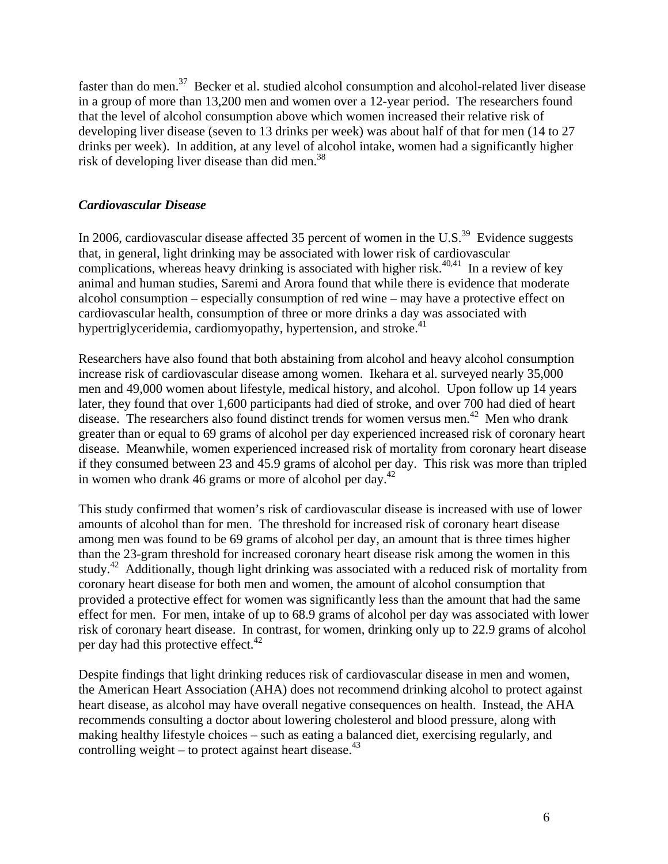<span id="page-5-0"></span>faster than do men.<sup>37</sup> Becker et al. studied alcohol consumption and alcohol-related liver disease in a group of more than 13,200 men and women over a 12-year period. The researchers found that the level of alcohol consumption above which women increased their relative risk of developing liver disease (seven to 13 drinks per week) was about half of that for men (14 to 27 drinks per week). In addition, at any level of alcohol intake, women had a significantly higher risk of developing liver disease than did men.<sup>38</sup>

### <span id="page-5-1"></span>*Cardiovascular Disease*

In 2006, cardiovascular disease affected 35 percent of women in the U.S.<sup>39</sup> Evidence suggests that, in general, light drinking may be associated with lower risk of cardiovascular complications, whereas heavy drinking is associated with higher risk.<sup>40,41</sup> In a review of key animal and human studies, Saremi and Arora found that while there is evidence that moderate alcohol consumption – especially consumption of red wine – may have a protective effect on cardiovascular health, consumption of three or more drinks a day was associated with hypertriglyceridemia, cardiomyopathy, hypertension, and stroke.<sup>41</sup>

Researchers have also found that both abstaining from alcohol and heavy alcohol consumption increase risk of cardiovascular disease among women. Ikehara et al. surveyed nearly 35,000 men and 49,000 women about lifestyle, medical history, and alcohol. Upon follow up 14 years later, they found that over 1,600 participants had died of stroke, and over 700 had died of heart disease. The researchers also found distinct trends for women versus men.<sup>42</sup> Men who drank greater than or equal to 69 grams of alcohol per day experienced increased risk of coronary heart disease. Meanwhile, women experienced increased risk of mortality from coronary heart disease if they consumed between 23 and 45.9 grams of alcohol per day. This risk was more than tripled in women who drank 46 grams or more of alcohol per day.<sup>42</sup>

This study confirmed that women's risk of cardiovascular disease is increased with use of lower amounts of alcohol than for men. The threshold for increased risk of coronary heart disease among men was found to be 69 grams of alcohol per day, an amount that is three times higher than the 23-gram threshold for increased coronary heart disease risk among the women in this study.<sup>42</sup> Additionally, though light drinking was associated with a reduced risk of mortality from coronary heart disease for both men and women, the amount of alcohol consumption that provided a protective effect for women was significantly less than the amount that had the same effect for men. For men, intake of up to 68.9 grams of alcohol per day was associated with lower risk of coronary heart disease. In contrast, for women, drinking only up to 22.9 grams of alcohol per day had this protective effect. $42$ 

Despite findings that light drinking reduces risk of cardiovascular disease in men and women, the American Heart Association (AHA) does not recommend drinking alcohol to protect against heart disease, as alcohol may have overall negative consequences on health. Instead, the AHA recommends consulting a doctor about lowering cholesterol and blood pressure, along with making healthy lifestyle choices – such as eating a balanced diet, exercising regularly, and controlling weight – to protect against heart disease. $43$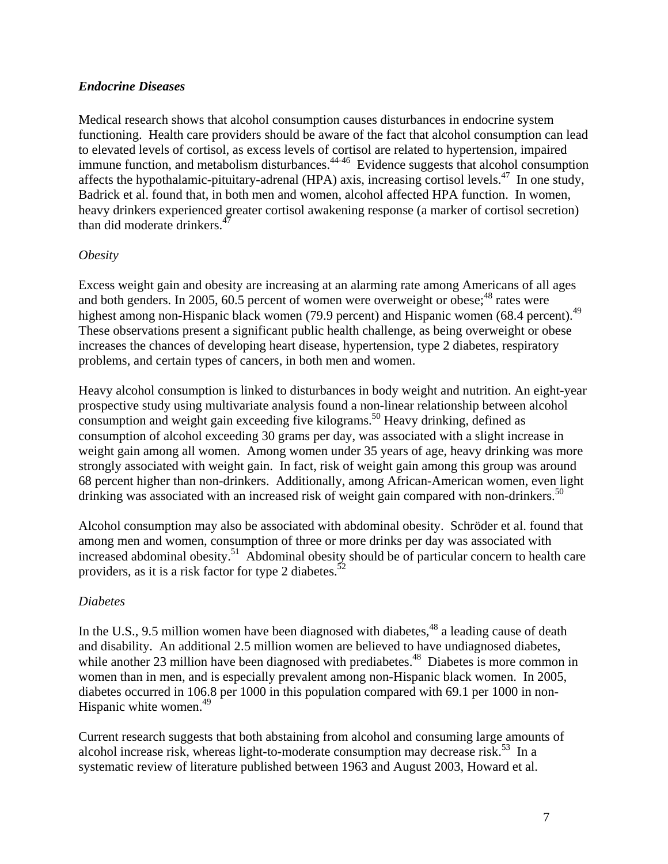## <span id="page-6-1"></span><span id="page-6-0"></span>*Endocrine Diseases*

Medical research shows that alcohol consumption causes disturbances in endocrine system functioning. Health care providers should be aware of the fact that alcohol consumption can lead to elevated levels of cortisol, as excess levels of cortisol are related to hypertension, impaired immune function, and metabolism disturbances.<sup>44-46</sup> Evidence suggests that alcohol consumption affects the hypothalamic-pituitary-adrenal (HPA) axis, increasing cortisol levels.<sup>47</sup> In one study, Badrick et al. found that, in both men and women, alcohol affected HPA function. In women, heavy drinkers experienced greater cortisol awakening response (a marker of cortisol secretion) than did moderate drinkers. $47$ 

# *Obesity*

Excess weight gain and obesity are increasing at an alarming rate among Americans of all ages and both genders. In 2005, 60.5 percent of women were overweight or obese; $^{48}$  rates were highest among non-Hispanic black women (79.9 percent) and Hispanic women (68.4 percent).<sup>49</sup> These observations present a significant public health challenge, as being overweight or obese increases the chances of developing heart disease, hypertension, type 2 diabetes, respiratory problems, and certain types of cancers, in both men and women.

Heavy alcohol consumption is linked to disturbances in body weight and nutrition. An eight-year prospective study using multivariate analysis found a non-linear relationship between alcohol consumption and weight gain exceeding five kilograms.<sup>50</sup> Heavy drinking, defined as consumption of alcohol exceeding 30 grams per day, was associated with a slight increase in weight gain among all women. Among women under 35 years of age, heavy drinking was more strongly associated with weight gain. In fact, risk of weight gain among this group was around 68 percent higher than non-drinkers. Additionally, among African-American women, even light drinking was associated with an increased risk of weight gain compared with non-drinkers.<sup>50</sup>

Alcohol consumption may also be associated with abdominal obesity. Schröder et al. found that among men and women, consumption of three or more drinks per day was associated with increased abdominal obesity.<sup>51</sup> Abdominal obesity should be of particular concern to health care providers, as it is a risk factor for type 2 diabetes.<sup>52</sup>

#### *Diabetes*

In the U.S., 9.5 million women have been diagnosed with diabetes, $48$  a leading cause of death and disability. An additional 2.5 million women are believed to have undiagnosed diabetes, while another 23 million have been diagnosed with prediabetes.<sup>48</sup> Diabetes is more common in women than in men, and is especially prevalent among non-Hispanic black women. In 2005, diabetes occurred in 106.8 per 1000 in this population compared with 69.1 per 1000 in non-Hispanic white women. $49$ 

Current research suggests that both abstaining from alcohol and consuming large amounts of alcohol increase risk, whereas light-to-moderate consumption may decrease risk.<sup>53</sup> In a systematic review of literature published between 1963 and August 2003, Howard et al.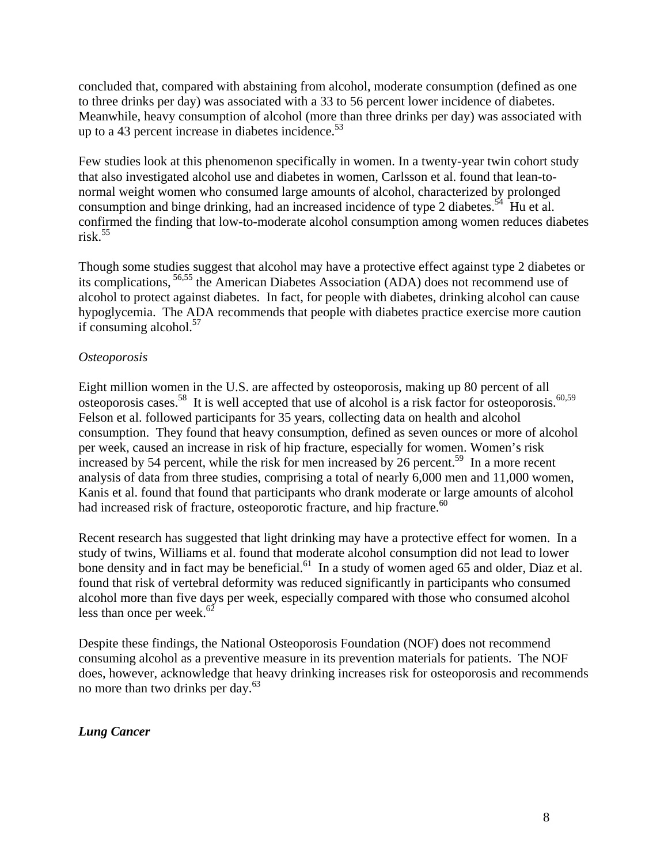<span id="page-7-0"></span>concluded that, compared with abstaining from alcohol, moderate consumption (defined as one to three drinks per day) was associated with a 33 to 56 percent lower incidence of diabetes. Meanwhile, heavy consumption of alcohol (more than three drinks per day) was associated with up to a 43 percent increase in diabetes incidence. $5<sup>3</sup>$ 

Few studies look at this phenomenon specifically in women. In a twenty-year twin cohort study that also investigated alcohol use and diabetes in women, Carlsson et al. found that lean-tonormal weight women who consumed large amounts of alcohol, characterized by prolonged consumption and binge drinking, had an increased incidence of type 2 diabetes.<sup>54</sup> Hu et al. confirmed the finding that low-to-moderate alcohol consumption among women reduces diabetes risk. $55$ 

Though some studies suggest that alcohol may have a protective effect against type 2 diabetes or its complications, 56,55 the American Diabetes Association (ADA) does not recommend use of alcohol to protect against diabetes. In fact, for people with diabetes, drinking alcohol can cause hypoglycemia. The ADA recommends that people with diabetes practice exercise more caution if consuming alcohol. $57$ 

# *Osteoporosis*

Eight million women in the U.S. are affected by osteoporosis, making up 80 percent of all osteoporosis cases.<sup>58</sup> It is well accepted that use of alcohol is a risk factor for osteoporosis.<sup>60,59</sup> Felson et al. followed participants for 35 years, collecting data on health and alcohol consumption. They found that heavy consumption, defined as seven ounces or more of alcohol per week, caused an increase in risk of hip fracture, especially for women. Women's risk increased by 54 percent, while the risk for men increased by 26 percent.<sup>59</sup> In a more recent analysis of data from three studies, comprising a total of nearly 6,000 men and 11,000 women, Kanis et al. found that found that participants who drank moderate or large amounts of alcohol had increased risk of fracture, osteoporotic fracture, and hip fracture.<sup>60</sup>

Recent research has suggested that light drinking may have a protective effect for women. In a study of twins, Williams et al. found that moderate alcohol consumption did not lead to lower bone density and in fact may be beneficial.<sup>61</sup> In a study of women aged 65 and older, Diaz et al. found that risk of vertebral deformity was reduced significantly in participants who consumed alcohol more than five days per week, especially compared with those who consumed alcohol less than once per week. $62$ 

Despite these findings, the National Osteoporosis Foundation (NOF) does not recommend consuming alcohol as a preventive measure in its prevention materials for patients. The NOF does, however, acknowledge that heavy drinking increases risk for osteoporosis and recommends no more than two drinks per day.<sup>63</sup>

# <span id="page-7-1"></span>*Lung Cancer*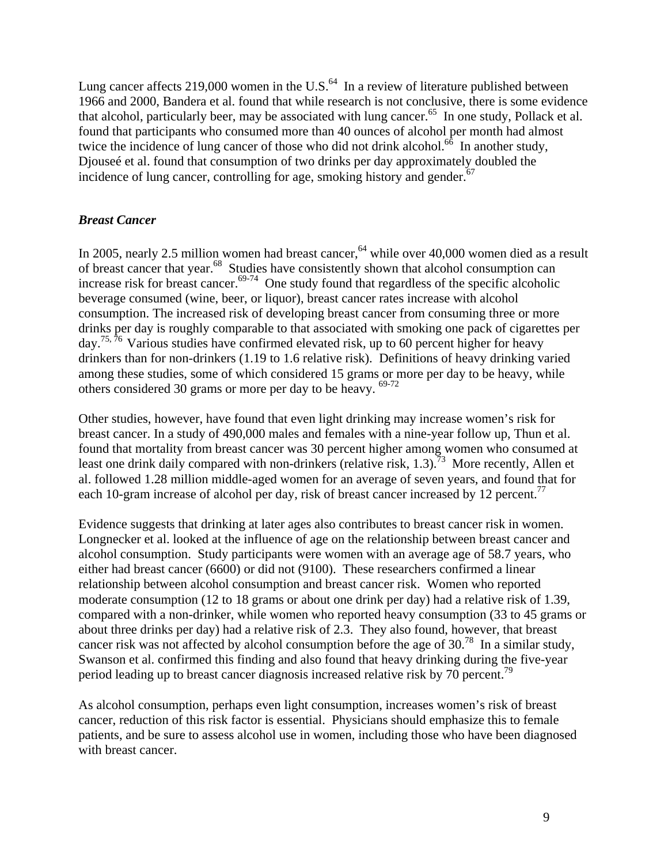<span id="page-8-0"></span>Lung cancer affects 219,000 women in the U.S.<sup>64</sup> In a review of literature published between 1966 and 2000, Bandera et al. found that while research is not conclusive, there is some evidence that alcohol, particularly beer, may be associated with lung cancer. $65$  In one study, Pollack et al. found that participants who consumed more than 40 ounces of alcohol per month had almost twice the incidence of lung cancer of those who did not drink alcohol.<sup>66</sup> In another study, Djouseé et al. found that consumption of two drinks per day approximately doubled the incidence of lung cancer, controlling for age, smoking history and gender.<sup>67</sup>

# <span id="page-8-1"></span>*Breast Cancer*

In 2005, nearly 2.5 million women had breast cancer,  $64$  while over 40,000 women died as a result of breast cancer that year.68 Studies have consistently shown that alcohol consumption can increase risk for breast cancer.<sup>69-74</sup> One study found that regardless of the specific alcoholic beverage consumed (wine, beer, or liquor), breast cancer rates increase with alcohol consumption. The increased risk of developing breast cancer from consuming three or more drinks per day is roughly comparable to that associated with smoking one pack of cigarettes per day.<sup>75, 76</sup> Various studies have confirmed elevated risk, up to 60 percent higher for heavy drinkers than for non-drinkers (1.19 to 1.6 relative risk). Definitions of heavy drinking varied among these studies, some of which considered 15 grams or more per day to be heavy, while others considered 30 grams or more per day to be heavy.  $69-72$ 

Other studies, however, have found that even light drinking may increase women's risk for breast cancer. In a study of 490,000 males and females with a nine-year follow up, Thun et al. found that mortality from breast cancer was 30 percent higher among women who consumed at least one drink daily compared with non-drinkers (relative risk, 1.3).<sup>73</sup> More recently, Allen et al. followed 1.28 million middle-aged women for an average of seven years, and found that for each 10-gram increase of alcohol per day, risk of breast cancer increased by 12 percent.<sup>77</sup>

Evidence suggests that drinking at later ages also contributes to breast cancer risk in women. Longnecker et al. looked at the influence of age on the relationship between breast cancer and alcohol consumption. Study participants were women with an average age of 58.7 years, who either had breast cancer (6600) or did not (9100). These researchers confirmed a linear relationship between alcohol consumption and breast cancer risk. Women who reported moderate consumption (12 to 18 grams or about one drink per day) had a relative risk of 1.39, compared with a non-drinker, while women who reported heavy consumption (33 to 45 grams or about three drinks per day) had a relative risk of 2.3. They also found, however, that breast cancer risk was not affected by alcohol consumption before the age of  $30$ .<sup>78</sup> In a similar study, Swanson et al. confirmed this finding and also found that heavy drinking during the five-year period leading up to breast cancer diagnosis increased relative risk by 70 percent.79

As alcohol consumption, perhaps even light consumption, increases women's risk of breast cancer, reduction of this risk factor is essential. Physicians should emphasize this to female patients, and be sure to assess alcohol use in women, including those who have been diagnosed with breast cancer.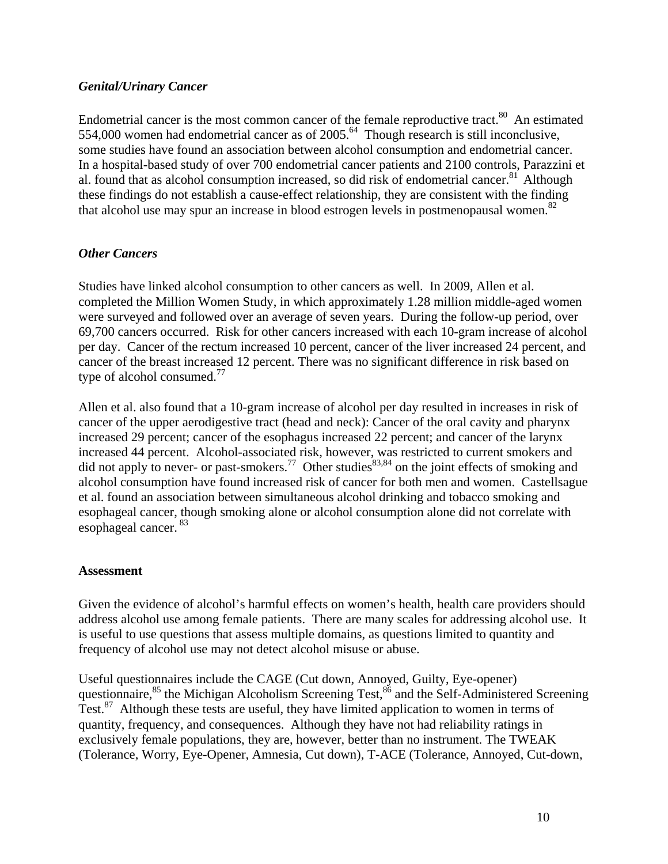# <span id="page-9-1"></span><span id="page-9-0"></span>*Genital/Urinary Cancer*

Endometrial cancer is the most common cancer of the female reproductive tract.<sup>80</sup> An estimated 554,000 women had endometrial cancer as of  $2005<sup>64</sup>$ . Though research is still inconclusive, some studies have found an association between alcohol consumption and endometrial cancer. In a hospital-based study of over 700 endometrial cancer patients and 2100 controls, Parazzini et al. found that as alcohol consumption increased, so did risk of endometrial cancer.<sup>81</sup> Although these findings do not establish a cause-effect relationship, they are consistent with the finding that alcohol use may spur an increase in blood estrogen levels in postmenopausal women. $82$ 

# <span id="page-9-2"></span>*Other Cancers*

Studies have linked alcohol consumption to other cancers as well. In 2009, Allen et al. completed the Million Women Study, in which approximately 1.28 million middle-aged women were surveyed and followed over an average of seven years. During the follow-up period, over 69,700 cancers occurred. Risk for other cancers increased with each 10-gram increase of alcohol per day. Cancer of the rectum increased 10 percent, cancer of the liver increased 24 percent, and cancer of the breast increased 12 percent. There was no significant difference in risk based on type of alcohol consumed. $^{77}$ 

Allen et al. also found that a 10-gram increase of alcohol per day resulted in increases in risk of cancer of the upper aerodigestive tract (head and neck): Cancer of the oral cavity and pharynx increased 29 percent; cancer of the esophagus increased 22 percent; and cancer of the larynx increased 44 percent. Alcohol-associated risk, however, was restricted to current smokers and did not apply to never- or past-smokers.<sup>77</sup> Other studies<sup>83,84</sup> on the joint effects of smoking and alcohol consumption have found increased risk of cancer for both men and women. Castellsague et al. found an association between simultaneous alcohol drinking and tobacco smoking and esophageal cancer, though smoking alone or alcohol consumption alone did not correlate with esophageal cancer.<sup>83</sup>

#### <span id="page-9-3"></span>**Assessment**

Given the evidence of alcohol's harmful effects on women's health, health care providers should address alcohol use among female patients. There are many scales for addressing alcohol use. It is useful to use questions that assess multiple domains, as questions limited to quantity and frequency of alcohol use may not detect alcohol misuse or abuse.

Useful questionnaires include the CAGE (Cut down, Annoyed, Guilty, Eye-opener) questionnaire,<sup>85</sup> the Michigan Alcoholism Screening Test,<sup>86</sup> and the Self-Administered Screening Test.87 Although these tests are useful, they have limited application to women in terms of quantity, frequency, and consequences. Although they have not had reliability ratings in exclusively female populations, they are, however, better than no instrument. The TWEAK (Tolerance, Worry, Eye-Opener, Amnesia, Cut down), T-ACE (Tolerance, Annoyed, Cut-down,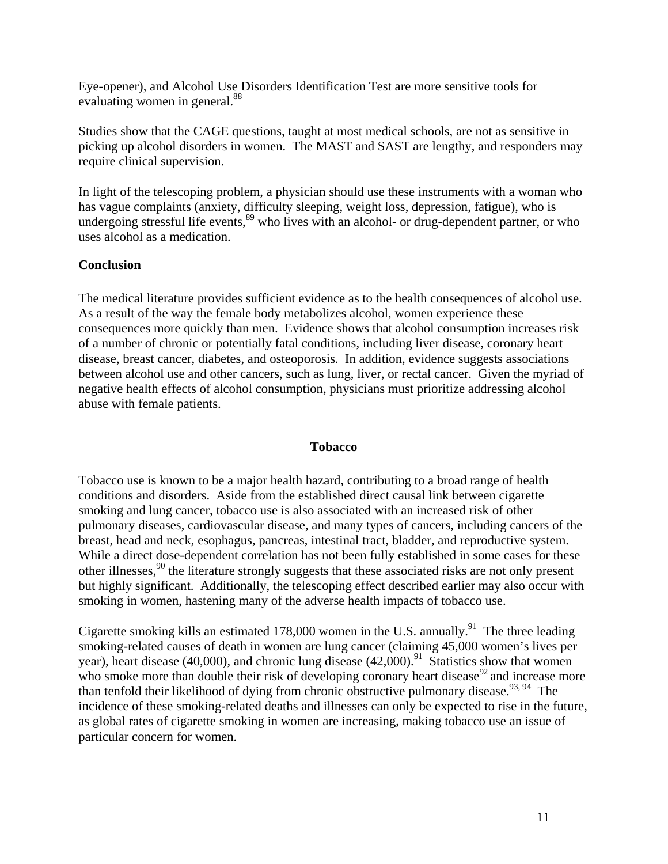<span id="page-10-0"></span>Eye-opener), and Alcohol Use Disorders Identification Test are more sensitive tools for evaluating women in general.<sup>88</sup>

Studies show that the CAGE questions, taught at most medical schools, are not as sensitive in picking up alcohol disorders in women. The MAST and SAST are lengthy, and responders may require clinical supervision.

In light of the telescoping problem, a physician should use these instruments with a woman who has vague complaints (anxiety, difficulty sleeping, weight loss, depression, fatigue), who is undergoing stressful life events,<sup>89</sup> who lives with an alcohol- or drug-dependent partner, or who uses alcohol as a medication.

## <span id="page-10-1"></span>**Conclusion**

The medical literature provides sufficient evidence as to the health consequences of alcohol use. As a result of the way the female body metabolizes alcohol, women experience these consequences more quickly than men. Evidence shows that alcohol consumption increases risk of a number of chronic or potentially fatal conditions, including liver disease, coronary heart disease, breast cancer, diabetes, and osteoporosis. In addition, evidence suggests associations between alcohol use and other cancers, such as lung, liver, or rectal cancer. Given the myriad of negative health effects of alcohol consumption, physicians must prioritize addressing alcohol abuse with female patients.

#### **Tobacco**

<span id="page-10-2"></span>Tobacco use is known to be a major health hazard, contributing to a broad range of health conditions and disorders. Aside from the established direct causal link between cigarette smoking and lung cancer, tobacco use is also associated with an increased risk of other pulmonary diseases, cardiovascular disease, and many types of cancers, including cancers of the breast, head and neck, esophagus, pancreas, intestinal tract, bladder, and reproductive system. While a direct dose-dependent correlation has not been fully established in some cases for these other illnesses,<sup>90</sup> the literature strongly suggests that these associated risks are not only present but highly significant. Additionally, the telescoping effect described earlier may also occur with smoking in women, hastening many of the adverse health impacts of tobacco use.

Cigarette smoking kills an estimated 178,000 women in the U.S. annually.<sup>91</sup> The three leading smoking-related causes of death in women are lung cancer (claiming 45,000 women's lives per year), heart disease (40,000), and chronic lung disease (42,000).<sup>91</sup> Statistics show that women who smoke more than double their risk of developing coronary heart disease<sup>92</sup> and increase more than tenfold their likelihood of dying from chronic obstructive pulmonary disease.<sup>93, 94</sup> The incidence of these smoking-related deaths and illnesses can only be expected to rise in the future, as global rates of cigarette smoking in women are increasing, making tobacco use an issue of particular concern for women.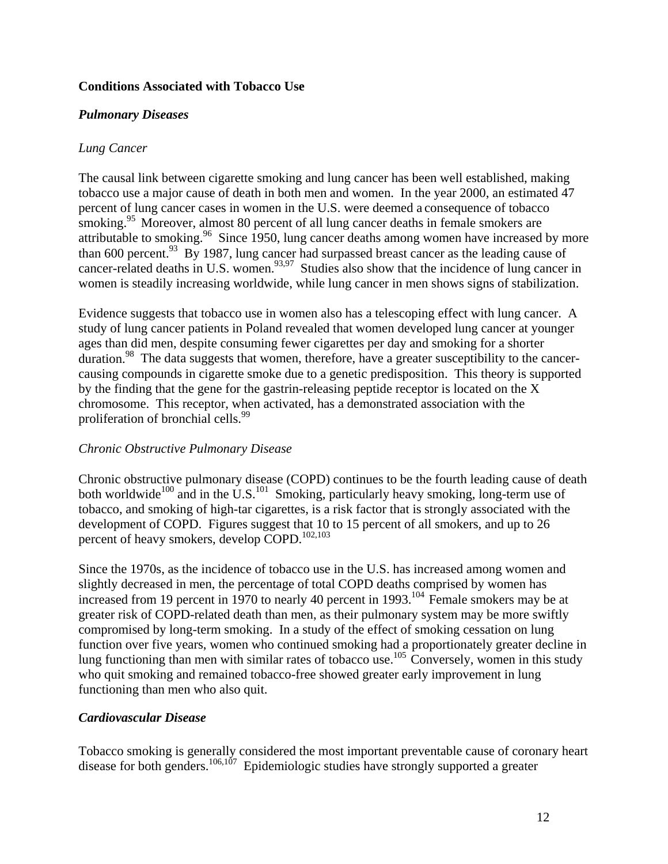# <span id="page-11-1"></span><span id="page-11-0"></span>**Conditions Associated with Tobacco Use**

### <span id="page-11-2"></span>*Pulmonary Diseases*

### *Lung Cancer*

The causal link between cigarette smoking and lung cancer has been well established, making tobacco use a major cause of death in both men and women. In the year 2000, an estimated 47 percent of lung cancer cases in women in the U.S. were deemed a consequence of tobacco smoking.<sup>95</sup> Moreover, almost 80 percent of all lung cancer deaths in female smokers are attributable to smoking.<sup>96</sup> Since 1950, lung cancer deaths among women have increased by more than 600 percent.<sup>93</sup> By 1987, lung cancer had surpassed breast cancer as the leading cause of cancer-related deaths in U.S. women.<sup>93,97</sup> Studies also show that the incidence of lung cancer in women is steadily increasing worldwide, while lung cancer in men shows signs of stabilization.

Evidence suggests that tobacco use in women also has a telescoping effect with lung cancer. A study of lung cancer patients in Poland revealed that women developed lung cancer at younger ages than did men, despite consuming fewer cigarettes per day and smoking for a shorter duration.<sup>98</sup> The data suggests that women, therefore, have a greater susceptibility to the cancercausing compounds in cigarette smoke due to a genetic predisposition. This theory is supported by the finding that the gene for the gastrin-releasing peptide receptor is located on the X chromosome. This receptor, when activated, has a demonstrated association with the proliferation of bronchial cells.<sup>99</sup>

#### *Chronic Obstructive Pulmonary Disease*

Chronic obstructive pulmonary disease (COPD) continues to be the fourth leading cause of death both worldwide<sup>100</sup> and in the U.S.<sup>101</sup> Smoking, particularly heavy smoking, long-term use of tobacco, and smoking of high-tar cigarettes, is a risk factor that is strongly associated with the development of COPD. Figures suggest that 10 to 15 percent of all smokers, and up to 26 percent of heavy smokers, develop COPD.<sup>102,103</sup>

Since the 1970s, as the incidence of tobacco use in the U.S. has increased among women and slightly decreased in men, the percentage of total COPD deaths comprised by women has increased from 19 percent in 1970 to nearly 40 percent in 1993.<sup>104</sup> Female smokers may be at greater risk of COPD-related death than men, as their pulmonary system may be more swiftly compromised by long-term smoking. In a study of the effect of smoking cessation on lung function over five years, women who continued smoking had a proportionately greater decline in lung functioning than men with similar rates of tobacco use.<sup>105</sup> Conversely, women in this study who quit smoking and remained tobacco-free showed greater early improvement in lung functioning than men who also quit.

# <span id="page-11-3"></span>*Cardiovascular Disease*

Tobacco smoking is generally considered the most important preventable cause of coronary heart disease for both genders.<sup>106,107</sup> Epidemiologic studies have strongly supported a greater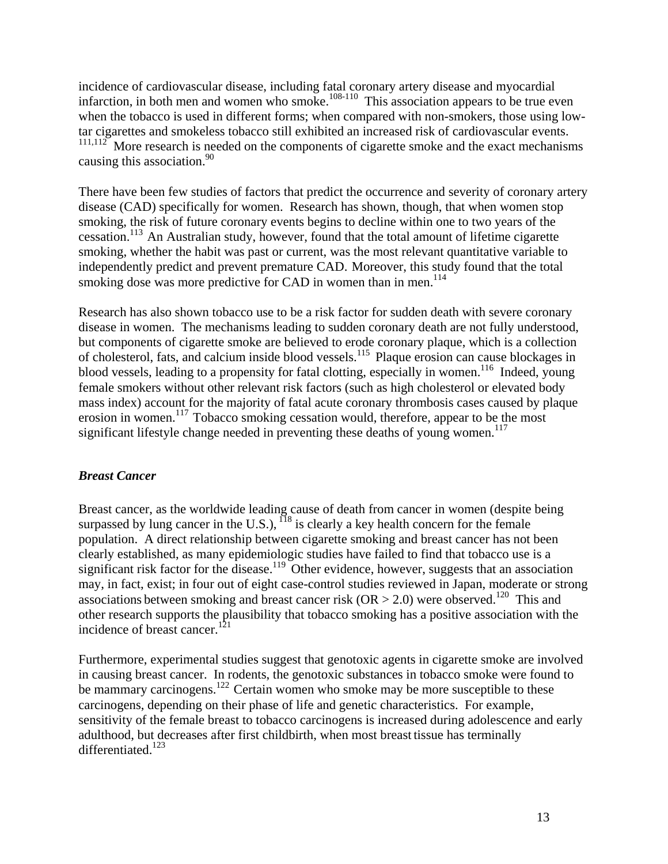<span id="page-12-0"></span>incidence of cardiovascular disease, including fatal coronary artery disease and myocardial infarction, in both men and women who smoke.<sup>108-110</sup> This association appears to be true even when the tobacco is used in different forms; when compared with non-smokers, those using lowtar cigarettes and smokeless tobacco still exhibited an increased risk of cardiovascular events.  $111,112$  More research is needed on the components of cigarette smoke and the exact mechanisms causing this association. $90$ 

There have been few studies of factors that predict the occurrence and severity of coronary artery disease (CAD) specifically for women. Research has shown, though, that when women stop smoking, the risk of future coronary events begins to decline within one to two years of the cessation.113 An Australian study, however, found that the total amount of lifetime cigarette smoking, whether the habit was past or current, was the most relevant quantitative variable to independently predict and prevent premature CAD. Moreover, this study found that the total smoking dose was more predictive for CAD in women than in men.<sup>114</sup>

Research has also shown tobacco use to be a risk factor for sudden death with severe coronary disease in women. The mechanisms leading to sudden coronary death are not fully understood, but components of cigarette smoke are believed to erode coronary plaque, which is a collection of cholesterol, fats, and calcium inside blood vessels.115 Plaque erosion can cause blockages in blood vessels, leading to a propensity for fatal clotting, especially in women.<sup>116</sup> Indeed, young female smokers without other relevant risk factors (such as high cholesterol or elevated body mass index) account for the majority of fatal acute coronary thrombosis cases caused by plaque erosion in women.117 Tobacco smoking cessation would, therefore, appear to be the most significant lifestyle change needed in preventing these deaths of young women.<sup>117</sup>

# <span id="page-12-1"></span>*Breast Cancer*

Breast cancer, as the worldwide leading cause of death from cancer in women (despite being surpassed by lung cancer in the U.S.),  $^{118}$  is clearly a key health concern for the female population. A direct relationship between cigarette smoking and breast cancer has not been clearly established, as many epidemiologic studies have failed to find that tobacco use is a significant risk factor for the disease.<sup>119</sup> Other evidence, however, suggests that an association may, in fact, exist; in four out of eight case-control studies reviewed in Japan, moderate or strong associations between smoking and breast cancer risk (OR  $>$  2.0) were observed.<sup>120</sup> This and other research supports the plausibility that tobacco smoking has a positive association with the incidence of breast cancer.<sup>121</sup>

Furthermore, experimental studies suggest that genotoxic agents in cigarette smoke are involved in causing breast cancer. In rodents, the genotoxic substances in tobacco smoke were found to be mammary carcinogens.<sup>122</sup> Certain women who smoke may be more susceptible to these carcinogens, depending on their phase of life and genetic characteristics. For example, sensitivity of the female breast to tobacco carcinogens is increased during adolescence and early adulthood, but decreases after first childbirth, when most breast tissue has terminally differentiated.<sup>123</sup>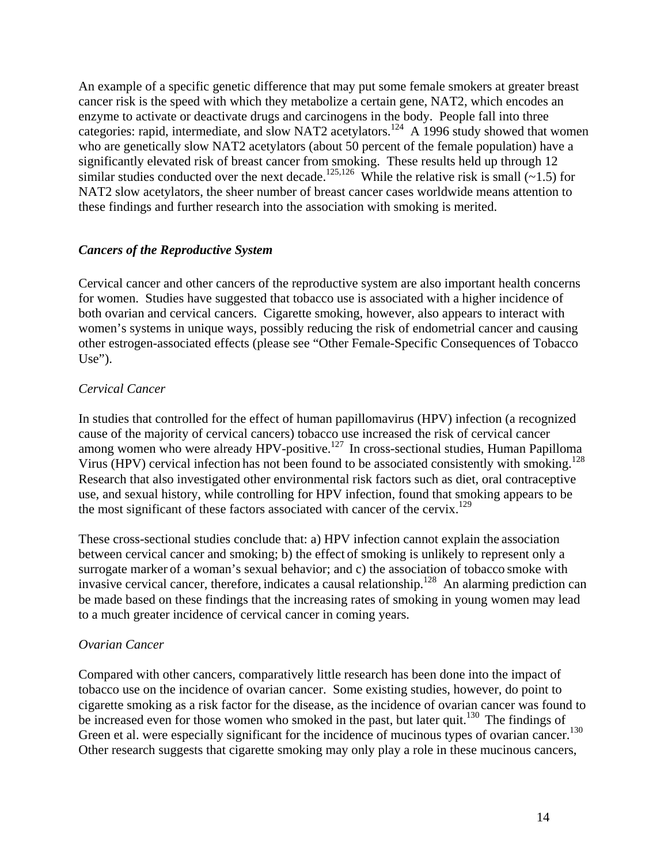<span id="page-13-0"></span>An example of a specific genetic difference that may put some female smokers at greater breast cancer risk is the speed with which they metabolize a certain gene, NAT2, which encodes an enzyme to activate or deactivate drugs and carcinogens in the body. People fall into three categories: rapid, intermediate, and slow NAT2 acetylators.<sup>124</sup> A 1996 study showed that women who are genetically slow NAT2 acetylators (about 50 percent of the female population) have a significantly elevated risk of breast cancer from smoking. These results held up through 12 similar studies conducted over the next decade.<sup>125,126</sup> While the relative risk is small (~1.5) for NAT2 slow acetylators, the sheer number of breast cancer cases worldwide means attention to these findings and further research into the association with smoking is merited.

## <span id="page-13-1"></span>*Cancers of the Reproductive System*

Cervical cancer and other cancers of the reproductive system are also important health concerns for women. Studies have suggested that tobacco use is associated with a higher incidence of both ovarian and cervical cancers. Cigarette smoking, however, also appears to interact with women's systems in unique ways, possibly reducing the risk of endometrial cancer and causing other estrogen-associated effects (please see "Other Female-Specific Consequences of Tobacco Use").

## *Cervical Cancer*

In studies that controlled for the effect of human papillomavirus (HPV) infection (a recognized cause of the majority of cervical cancers) tobacco use increased the risk of cervical cancer among women who were already HPV-positive.<sup>127</sup> In cross-sectional studies, Human Papilloma Virus (HPV) cervical infection has not been found to be associated consistently with smoking.<sup>128</sup> Research that also investigated other environmental risk factors such as diet, oral contraceptive use, and sexual history, while controlling for HPV infection, found that smoking appears to be the most significant of these factors associated with cancer of the cervix.<sup>129</sup>

These cross-sectional studies conclude that: a) HPV infection cannot explain the association between cervical cancer and smoking; b) the effect of smoking is unlikely to represent only a surrogate marker of a woman's sexual behavior; and c) the association of tobacco smoke with invasive cervical cancer, therefore, indicates a causal relationship.<sup>128</sup> An alarming prediction can be made based on these findings that the increasing rates of smoking in young women may lead to a much greater incidence of cervical cancer in coming years.

#### *Ovarian Cancer*

Compared with other cancers, comparatively little research has been done into the impact of tobacco use on the incidence of ovarian cancer. Some existing studies, however, do point to cigarette smoking as a risk factor for the disease, as the incidence of ovarian cancer was found to be increased even for those women who smoked in the past, but later quit.<sup>130</sup> The findings of Green et al. were especially significant for the incidence of mucinous types of ovarian cancer.<sup>130</sup> Other research suggests that cigarette smoking may only play a role in these mucinous cancers,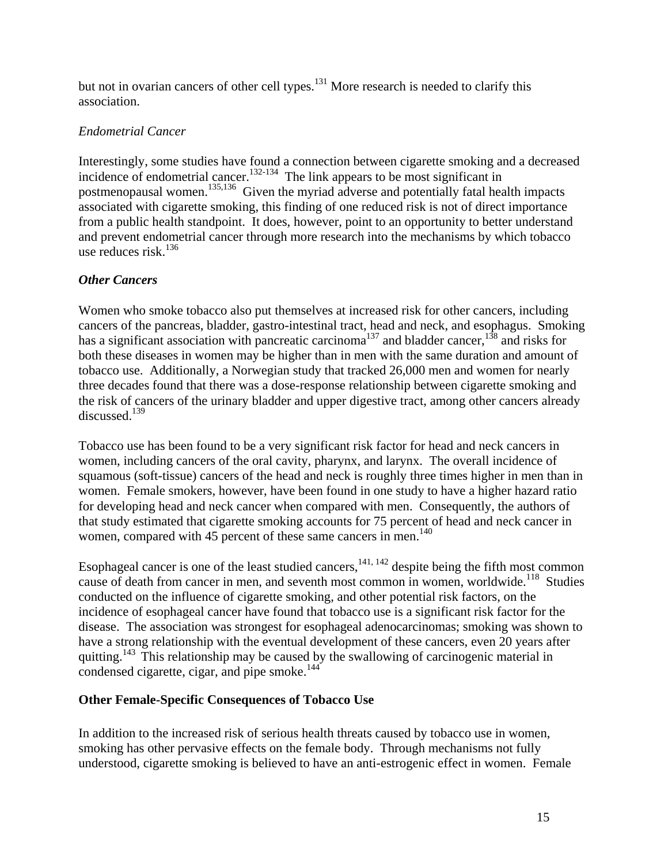<span id="page-14-0"></span>but not in ovarian cancers of other cell types.<sup>131</sup> More research is needed to clarify this association.

## *Endometrial Cancer*

Interestingly, some studies have found a connection between cigarette smoking and a decreased incidence of endometrial cancer.<sup>132-134</sup> The link appears to be most significant in postmenopausal women.135,136 Given the myriad adverse and potentially fatal health impacts associated with cigarette smoking, this finding of one reduced risk is not of direct importance from a public health standpoint. It does, however, point to an opportunity to better understand and prevent endometrial cancer through more research into the mechanisms by which tobacco use reduces risk. $136$ 

## <span id="page-14-1"></span>*Other Cancers*

Women who smoke tobacco also put themselves at increased risk for other cancers, including cancers of the pancreas, bladder, gastro-intestinal tract, head and neck, and esophagus. Smoking has a significant association with pancreatic carcinoma<sup>137</sup> and bladder cancer,<sup>138</sup> and risks for both these diseases in women may be higher than in men with the same duration and amount of tobacco use. Additionally, a Norwegian study that tracked 26,000 men and women for nearly three decades found that there was a dose-response relationship between cigarette smoking and the risk of cancers of the urinary bladder and upper digestive tract, among other cancers already discussed.139

Tobacco use has been found to be a very significant risk factor for head and neck cancers in women, including cancers of the oral cavity, pharynx, and larynx. The overall incidence of squamous (soft-tissue) cancers of the head and neck is roughly three times higher in men than in women. Female smokers, however, have been found in one study to have a higher hazard ratio for developing head and neck cancer when compared with men. Consequently, the authors of that study estimated that cigarette smoking accounts for 75 percent of head and neck cancer in women, compared with 45 percent of these same cancers in men.<sup>140</sup>

Esophageal cancer is one of the least studied cancers,  $141, 142$  despite being the fifth most common cause of death from cancer in men, and seventh most common in women, worldwide.<sup>118</sup> Studies conducted on the influence of cigarette smoking, and other potential risk factors, on the incidence of esophageal cancer have found that tobacco use is a significant risk factor for the disease. The association was strongest for esophageal adenocarcinomas; smoking was shown to have a strong relationship with the eventual development of these cancers, even 20 years after quitting.<sup>143</sup> This relationship may be caused by the swallowing of carcinogenic material in condensed cigarette, cigar, and pipe smoke. $^{144}$ 

#### <span id="page-14-2"></span>**Other Female-Specific Consequences of Tobacco Use**

In addition to the increased risk of serious health threats caused by tobacco use in women, smoking has other pervasive effects on the female body. Through mechanisms not fully understood, cigarette smoking is believed to have an anti-estrogenic effect in women. Female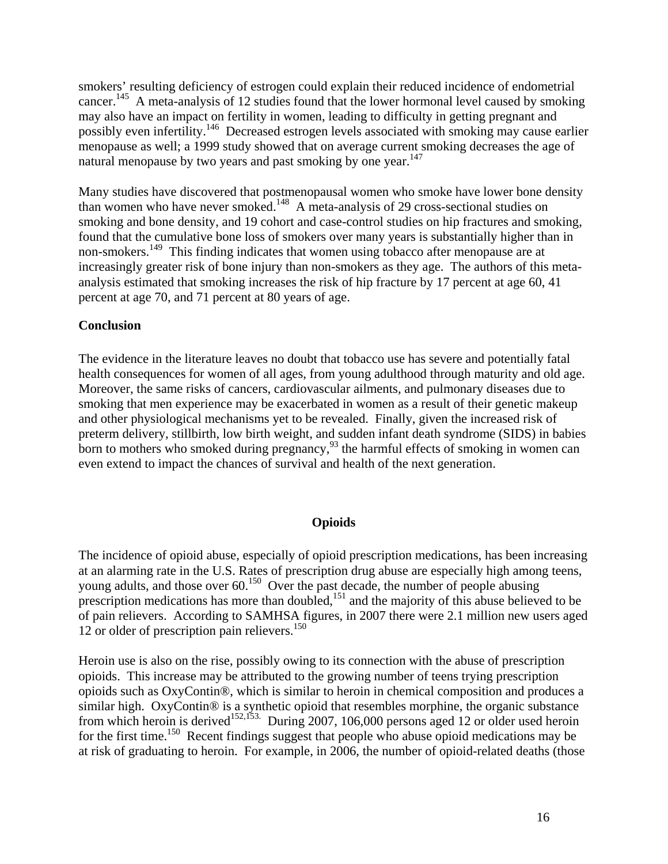<span id="page-15-0"></span>smokers' resulting deficiency of estrogen could explain their reduced incidence of endometrial cancer.145 A meta-analysis of 12 studies found that the lower hormonal level caused by smoking may also have an impact on fertility in women, leading to difficulty in getting pregnant and possibly even infertility.<sup>146</sup> Decreased estrogen levels associated with smoking may cause earlier menopause as well; a 1999 study showed that on average current smoking decreases the age of natural menopause by two years and past smoking by one year.<sup>147</sup>

Many studies have discovered that postmenopausal women who smoke have lower bone density than women who have never smoked.<sup>148</sup> A meta-analysis of 29 cross-sectional studies on smoking and bone density, and 19 cohort and case-control studies on hip fractures and smoking, found that the cumulative bone loss of smokers over many years is substantially higher than in non-smokers.<sup>149</sup> This finding indicates that women using tobacco after menopause are at increasingly greater risk of bone injury than non-smokers as they age. The authors of this metaanalysis estimated that smoking increases the risk of hip fracture by 17 percent at age 60, 41 percent at age 70, and 71 percent at 80 years of age.

## <span id="page-15-1"></span>**Conclusion**

The evidence in the literature leaves no doubt that tobacco use has severe and potentially fatal health consequences for women of all ages, from young adulthood through maturity and old age. Moreover, the same risks of cancers, cardiovascular ailments, and pulmonary diseases due to smoking that men experience may be exacerbated in women as a result of their genetic makeup and other physiological mechanisms yet to be revealed. Finally, given the increased risk of preterm delivery, stillbirth, low birth weight, and sudden infant death syndrome (SIDS) in babies born to mothers who smoked during pregnancy, $93$  the harmful effects of smoking in women can even extend to impact the chances of survival and health of the next generation.

#### **Opioids**

<span id="page-15-2"></span>The incidence of opioid abuse, especially of opioid prescription medications, has been increasing at an alarming rate in the U.S. Rates of prescription drug abuse are especially high among teens, young adults, and those over  $60^{150}$  Over the past decade, the number of people abusing prescription medications has more than doubled,  $151$  and the majority of this abuse believed to be of pain relievers. According to SAMHSA figures, in 2007 there were 2.1 million new users aged 12 or older of prescription pain relievers. $150$ 

Heroin use is also on the rise, possibly owing to its connection with the abuse of prescription opioids. This increase may be attributed to the growing number of teens trying prescription opioids such as OxyContin®, which is similar to heroin in chemical composition and produces a similar high. OxyContin® is a synthetic opioid that resembles morphine, the organic substance from which heroin is derived<sup>152,153.</sup> During 2007, 106,000 persons aged 12 or older used heroin for the first time.<sup>150</sup> Recent findings suggest that people who abuse opioid medications may be at risk of graduating to heroin. For example, in 2006, the number of opioid-related deaths (those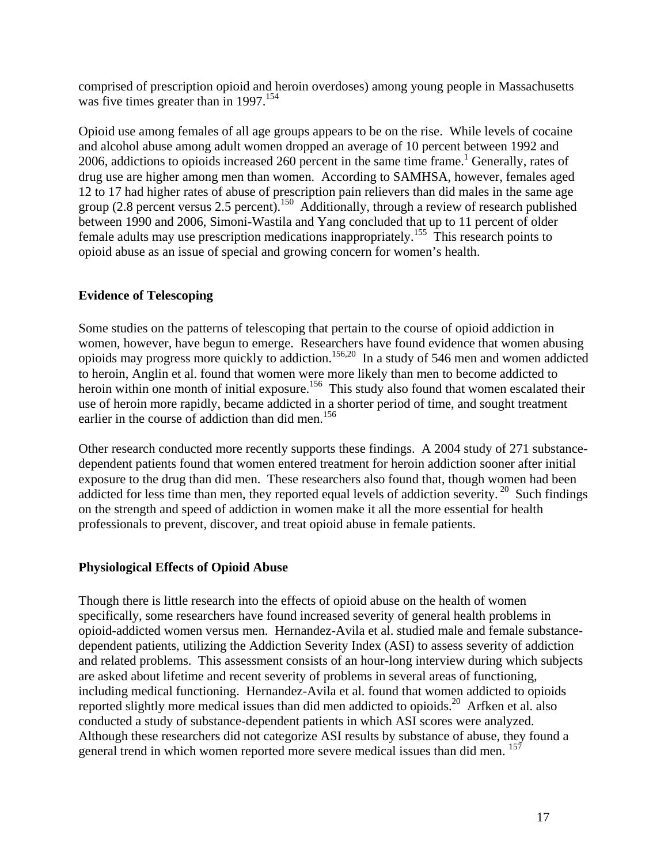<span id="page-16-0"></span>comprised of prescription opioid and heroin overdoses) among young people in Massachusetts was five times greater than in 1997.<sup>154</sup>

Opioid use among females of all age groups appears to be on the rise. While levels of cocaine and alcohol abuse among adult women dropped an average of 10 percent between 1992 and 2006, addictions to opioids increased 260 percent in the same time frame.<sup>1</sup> Generally, rates of drug use are higher among men than women. According to SAMHSA, however, females aged 12 to 17 had higher rates of abuse of prescription pain relievers than did males in the same age group (2.8 percent versus 2.5 percent).<sup>150</sup> Additionally, through a review of research published between 1990 and 2006, Simoni-Wastila and Yang concluded that up to 11 percent of older female adults may use prescription medications inappropriately.155 This research points to opioid abuse as an issue of special and growing concern for women's health.

# <span id="page-16-1"></span>**Evidence of Telescoping**

Some studies on the patterns of telescoping that pertain to the course of opioid addiction in women, however, have begun to emerge. Researchers have found evidence that women abusing opioids may progress more quickly to addiction.156,20 In a study of 546 men and women addicted to heroin, Anglin et al. found that women were more likely than men to become addicted to heroin within one month of initial exposure.<sup>156</sup> This study also found that women escalated their use of heroin more rapidly, became addicted in a shorter period of time, and sought treatment earlier in the course of addiction than did men.<sup>156</sup>

Other research conducted more recently supports these findings. A 2004 study of 271 substancedependent patients found that women entered treatment for heroin addiction sooner after initial exposure to the drug than did men. These researchers also found that, though women had been addicted for less time than men, they reported equal levels of addiction severity.<sup>20</sup> Such findings on the strength and speed of addiction in women make it all the more essential for health professionals to prevent, discover, and treat opioid abuse in female patients.

# <span id="page-16-2"></span>**Physiological Effects of Opioid Abuse**

Though there is little research into the effects of opioid abuse on the health of women specifically, some researchers have found increased severity of general health problems in opioid-addicted women versus men. Hernandez-Avila et al. studied male and female substancedependent patients, utilizing the Addiction Severity Index (ASI) to assess severity of addiction and related problems. This assessment consists of an hour-long interview during which subjects are asked about lifetime and recent severity of problems in several areas of functioning, including medical functioning. Hernandez-Avila et al. found that women addicted to opioids reported slightly more medical issues than did men addicted to opioids.<sup>20</sup> Arfken et al. also conducted a study of substance-dependent patients in which ASI scores were analyzed. Although these researchers did not categorize ASI results by substance of abuse, they found a general trend in which women reported more severe medical issues than did men.  $157$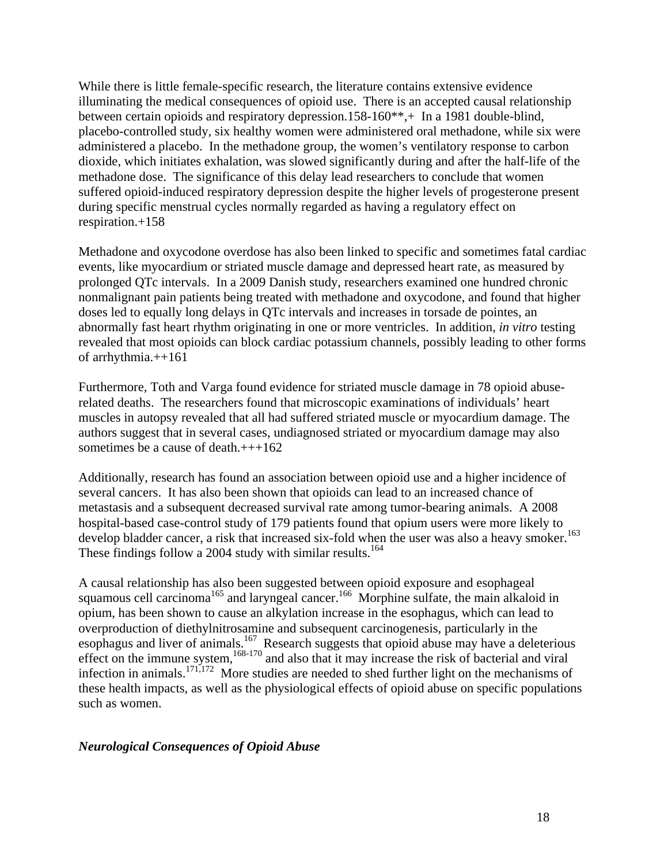<span id="page-17-0"></span>While there is little female-specific research, the literature contains extensive evidence illuminating the medical consequences of opioid use. There is an accepted causal relationship between certain opioids and respiratory depression.158-160\*\*,+ In a 1981 double-blind, placebo-controlled study, six healthy women were administered oral methadone, while six were administered a placebo. In the methadone group, the women's ventilatory response to carbon dioxide, which initiates exhalation, was slowed significantly during and after the half-life of the methadone dose. The significance of this delay lead researchers to conclude that women suffered opioid-induced respiratory depression despite the higher levels of progesterone present during specific menstrual cycles normally regarded as having a regulatory effect on respiration.+158

Methadone and oxycodone overdose has also been linked to specific and sometimes fatal cardiac events, like myocardium or striated muscle damage and depressed heart rate, as measured by prolonged QTc intervals. In a 2009 Danish study, researchers examined one hundred chronic nonmalignant pain patients being treated with methadone and oxycodone, and found that higher doses led to equally long delays in QTc intervals and increases in torsade de pointes, an abnormally fast heart rhythm originating in one or more ventricles. In addition, *in vitro* testing revealed that most opioids can block cardiac potassium channels, possibly leading to other forms of arrhythmia.++161

Furthermore, Toth and Varga found evidence for striated muscle damage in 78 opioid abuserelated deaths. The researchers found that microscopic examinations of individuals' heart muscles in autopsy revealed that all had suffered striated muscle or myocardium damage. The authors suggest that in several cases, undiagnosed striated or myocardium damage may also sometimes be a cause of death. $+++162$ 

Additionally, research has found an association between opioid use and a higher incidence of several cancers. It has also been shown that opioids can lead to an increased chance of metastasis and a subsequent decreased survival rate among tumor-bearing animals. A 2008 hospital-based case-control study of 179 patients found that opium users were more likely to develop bladder cancer, a risk that increased six-fold when the user was also a heavy smoker.<sup>163</sup> These findings follow a 2004 study with similar results.<sup>164</sup>

A causal relationship has also been suggested between opioid exposure and esophageal squamous cell carcinoma<sup>165</sup> and laryngeal cancer.<sup>166</sup> Morphine sulfate, the main alkaloid in opium, has been shown to cause an alkylation increase in the esophagus, which can lead to overproduction of diethylnitrosamine and subsequent carcinogenesis, particularly in the esophagus and liver of animals.<sup>167</sup> Research suggests that opioid abuse may have a deleterious effect on the immune system,  $168-170$  and also that it may increase the risk of bacterial and viral infection in animals.171,172 More studies are needed to shed further light on the mechanisms of these health impacts, as well as the physiological effects of opioid abuse on specific populations such as women.

#### <span id="page-17-1"></span>*Neurological Consequences of Opioid Abuse*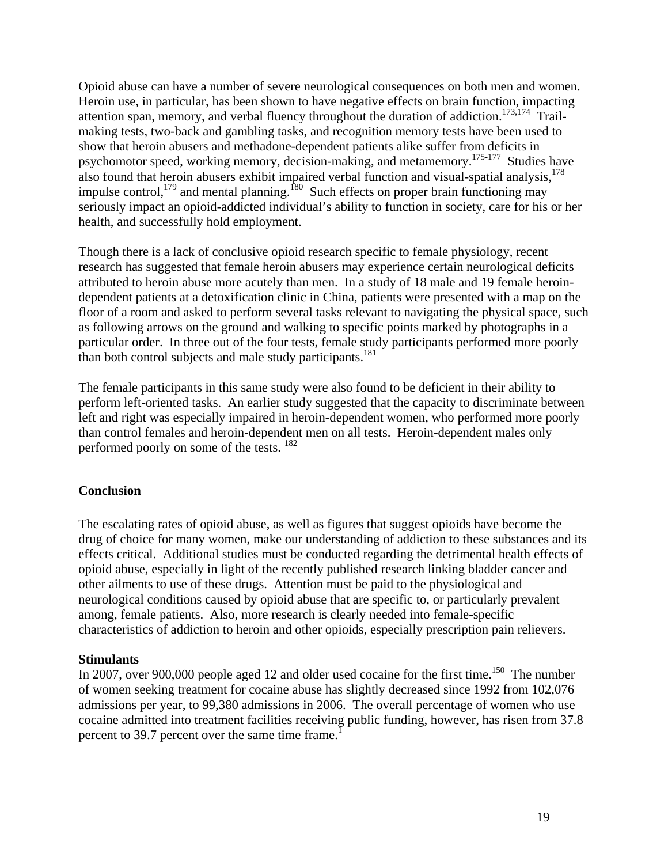<span id="page-18-0"></span>Opioid abuse can have a number of severe neurological consequences on both men and women. Heroin use, in particular, has been shown to have negative effects on brain function, impacting attention span, memory, and verbal fluency throughout the duration of addiction.<sup>173,174</sup> Trailmaking tests, two-back and gambling tasks, and recognition memory tests have been used to show that heroin abusers and methadone-dependent patients alike suffer from deficits in psychomotor speed, working memory, decision-making, and metamemory.175-177 Studies have also found that heroin abusers exhibit impaired verbal function and visual-spatial analysis, $178$ impulse control, $179$  and mental planning.<sup>180</sup> Such effects on proper brain functioning may seriously impact an opioid-addicted individual's ability to function in society, care for his or her health, and successfully hold employment.

Though there is a lack of conclusive opioid research specific to female physiology, recent research has suggested that female heroin abusers may experience certain neurological deficits attributed to heroin abuse more acutely than men. In a study of 18 male and 19 female heroindependent patients at a detoxification clinic in China, patients were presented with a map on the floor of a room and asked to perform several tasks relevant to navigating the physical space, such as following arrows on the ground and walking to specific points marked by photographs in a particular order. In three out of the four tests, female study participants performed more poorly than both control subjects and male study participants.<sup>181</sup>

The female participants in this same study were also found to be deficient in their ability to perform left-oriented tasks. An earlier study suggested that the capacity to discriminate between left and right was especially impaired in heroin-dependent women, who performed more poorly than control females and heroin-dependent men on all tests. Heroin-dependent males only performed poorly on some of the tests. <sup>182</sup>

#### <span id="page-18-1"></span>**Conclusion**

The escalating rates of opioid abuse, as well as figures that suggest opioids have become the drug of choice for many women, make our understanding of addiction to these substances and its effects critical. Additional studies must be conducted regarding the detrimental health effects of opioid abuse, especially in light of the recently published research linking bladder cancer and other ailments to use of these drugs. Attention must be paid to the physiological and neurological conditions caused by opioid abuse that are specific to, or particularly prevalent among, female patients. Also, more research is clearly needed into female-specific characteristics of addiction to heroin and other opioids, especially prescription pain relievers.

#### **Stimulants**

In 2007, over 900,000 people aged 12 and older used cocaine for the first time.<sup>150</sup> The number of women seeking treatment for cocaine abuse has slightly decreased since 1992 from 102,076 admissions per year, to 99,380 admissions in 2006. The overall percentage of women who use cocaine admitted into treatment facilities receiving public funding, however, has risen from 37.8 percent to 39.7 percent over the same time frame.<sup>1</sup>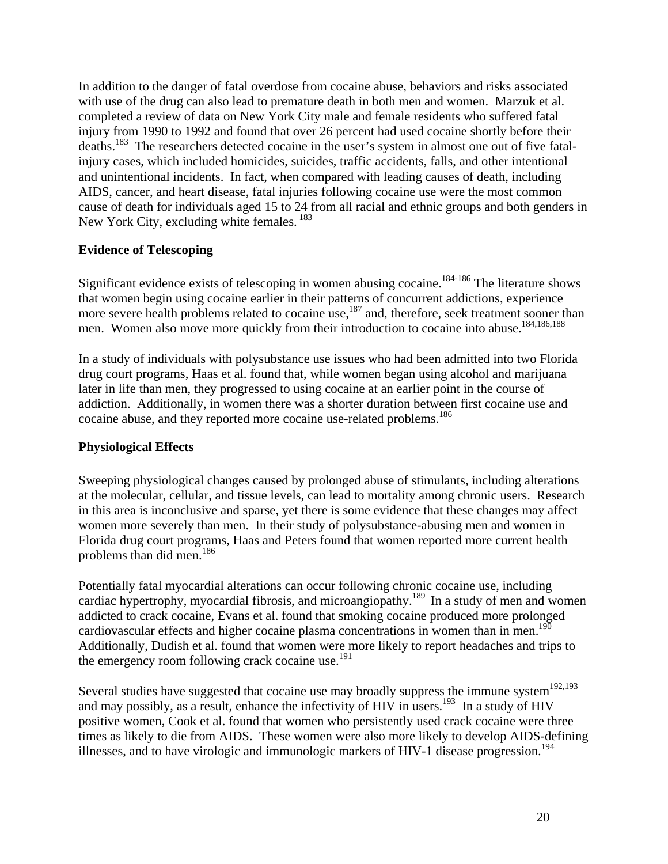<span id="page-19-0"></span>In addition to the danger of fatal overdose from cocaine abuse, behaviors and risks associated with use of the drug can also lead to premature death in both men and women. Marzuk et al. completed a review of data on New York City male and female residents who suffered fatal injury from 1990 to 1992 and found that over 26 percent had used cocaine shortly before their deaths.<sup>183</sup> The researchers detected cocaine in the user's system in almost one out of five fatalinjury cases, which included homicides, suicides, traffic accidents, falls, and other intentional and unintentional incidents. In fact, when compared with leading causes of death, including AIDS, cancer, and heart disease, fatal injuries following cocaine use were the most common cause of death for individuals aged 15 to 24 from all racial and ethnic groups and both genders in New York City, excluding white females. <sup>183</sup>

## <span id="page-19-1"></span>**Evidence of Telescoping**

Significant evidence exists of telescoping in women abusing cocaine.<sup>184-186</sup> The literature shows that women begin using cocaine earlier in their patterns of concurrent addictions, experience more severe health problems related to cocaine use,<sup>187</sup> and, therefore, seek treatment sooner than men. Women also move more quickly from their introduction to cocaine into abuse.<sup>184,186,188</sup>

In a study of individuals with polysubstance use issues who had been admitted into two Florida drug court programs, Haas et al. found that, while women began using alcohol and marijuana later in life than men, they progressed to using cocaine at an earlier point in the course of addiction. Additionally, in women there was a shorter duration between first cocaine use and cocaine abuse, and they reported more cocaine use-related problems.<sup>186</sup>

#### <span id="page-19-2"></span>**Physiological Effects**

Sweeping physiological changes caused by prolonged abuse of stimulants, including alterations at the molecular, cellular, and tissue levels, can lead to mortality among chronic users. Research in this area is inconclusive and sparse, yet there is some evidence that these changes may affect women more severely than men. In their study of polysubstance-abusing men and women in Florida drug court programs, Haas and Peters found that women reported more current health problems than did men.<sup>186</sup>

Potentially fatal myocardial alterations can occur following chronic cocaine use, including cardiac hypertrophy, myocardial fibrosis, and microangiopathy.<sup>189</sup> In a study of men and women addicted to crack cocaine, Evans et al. found that smoking cocaine produced more prolonged cardiovascular effects and higher cocaine plasma concentrations in women than in men.<sup>190</sup> Additionally, Dudish et al. found that women were more likely to report headaches and trips to the emergency room following crack cocaine use.<sup>191</sup>

Several studies have suggested that cocaine use may broadly suppress the immune system<sup>192,193</sup> and may possibly, as a result, enhance the infectivity of  $\overline{HIV}$  in users.<sup>193</sup> In a study of  $\overline{HIV}$ positive women, Cook et al. found that women who persistently used crack cocaine were three times as likely to die from AIDS. These women were also more likely to develop AIDS-defining illnesses, and to have virologic and immunologic markers of HIV-1 disease progression.<sup>194</sup>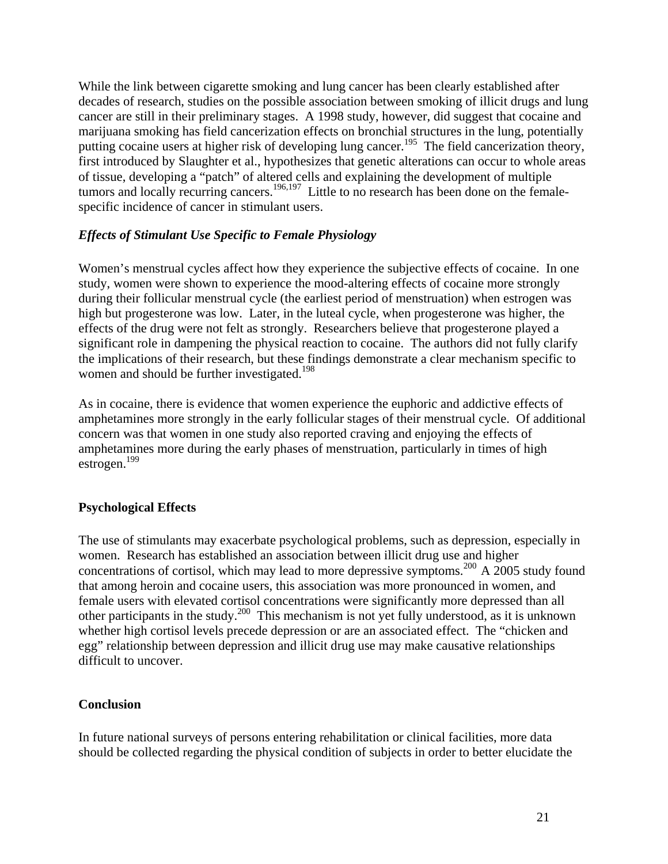<span id="page-20-0"></span>While the link between cigarette smoking and lung cancer has been clearly established after decades of research, studies on the possible association between smoking of illicit drugs and lung cancer are still in their preliminary stages. A 1998 study, however, did suggest that cocaine and marijuana smoking has field cancerization effects on bronchial structures in the lung, potentially putting cocaine users at higher risk of developing lung cancer.<sup>195</sup> The field cancerization theory, first introduced by Slaughter et al., hypothesizes that genetic alterations can occur to whole areas of tissue, developing a "patch" of altered cells and explaining the development of multiple tumors and locally recurring cancers.<sup>196,197</sup> Little to no research has been done on the femalespecific incidence of cancer in stimulant users.

## <span id="page-20-1"></span>*Effects of Stimulant Use Specific to Female Physiology*

Women's menstrual cycles affect how they experience the subjective effects of cocaine. In one study, women were shown to experience the mood-altering effects of cocaine more strongly during their follicular menstrual cycle (the earliest period of menstruation) when estrogen was high but progesterone was low. Later, in the luteal cycle, when progesterone was higher, the effects of the drug were not felt as strongly. Researchers believe that progesterone played a significant role in dampening the physical reaction to cocaine. The authors did not fully clarify the implications of their research, but these findings demonstrate a clear mechanism specific to women and should be further investigated.<sup>198</sup>

As in cocaine, there is evidence that women experience the euphoric and addictive effects of amphetamines more strongly in the early follicular stages of their menstrual cycle. Of additional concern was that women in one study also reported craving and enjoying the effects of amphetamines more during the early phases of menstruation, particularly in times of high estrogen.199

# <span id="page-20-2"></span>**Psychological Effects**

The use of stimulants may exacerbate psychological problems, such as depression, especially in women. Research has established an association between illicit drug use and higher concentrations of cortisol, which may lead to more depressive symptoms.<sup>200</sup> A 2005 study found that among heroin and cocaine users, this association was more pronounced in women, and female users with elevated cortisol concentrations were significantly more depressed than all other participants in the study.<sup>200</sup> This mechanism is not yet fully understood, as it is unknown whether high cortisol levels precede depression or are an associated effect. The "chicken and egg" relationship between depression and illicit drug use may make causative relationships difficult to uncover.

#### <span id="page-20-3"></span>**Conclusion**

In future national surveys of persons entering rehabilitation or clinical facilities, more data should be collected regarding the physical condition of subjects in order to better elucidate the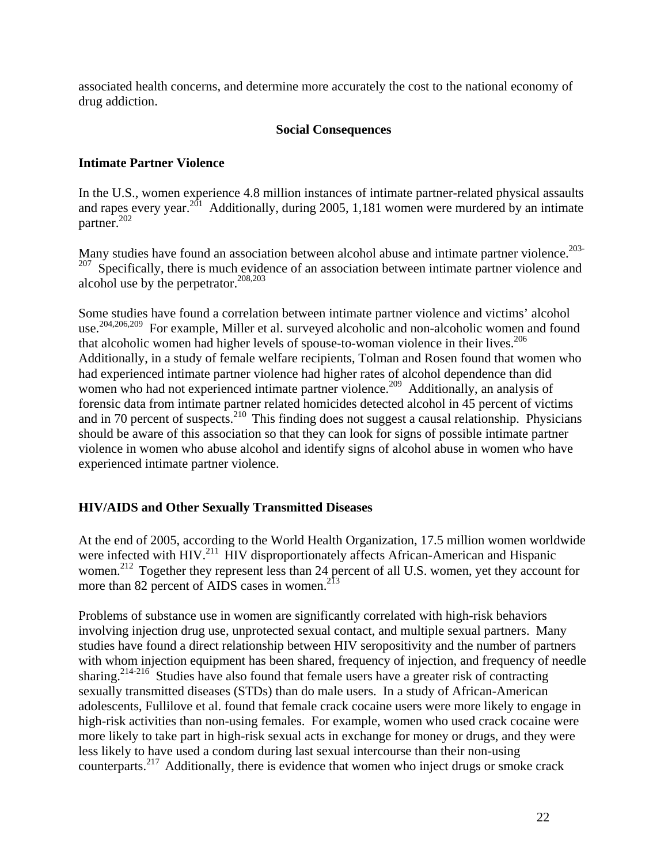<span id="page-21-0"></span>associated health concerns, and determine more accurately the cost to the national economy of drug addiction.

### **Social Consequences**

## <span id="page-21-1"></span>**Intimate Partner Violence**

In the U.S., women experience 4.8 million instances of intimate partner-related physical assaults and rapes every year.<sup>201</sup> Additionally, during 2005, 1,181 women were murdered by an intimate partner.<sup>202</sup>

Many studies have found an association between alcohol abuse and intimate partner violence.<sup>203-</sup>  $207$  Specifically, there is much evidence of an association between intimate partner violence and alcohol use by the perpetrator. $^{208,203}$ 

Some studies have found a correlation between intimate partner violence and victims' alcohol use.204,206,209 For example, Miller et al. surveyed alcoholic and non-alcoholic women and found that alcoholic women had higher levels of spouse-to-woman violence in their lives.<sup>206</sup> Additionally, in a study of female welfare recipients, Tolman and Rosen found that women who had experienced intimate partner violence had higher rates of alcohol dependence than did women who had not experienced intimate partner violence.<sup>209</sup> Additionally, an analysis of forensic data from intimate partner related homicides detected alcohol in 45 percent of victims and in 70 percent of suspects.<sup>210</sup> This finding does not suggest a causal relationship. Physicians should be aware of this association so that they can look for signs of possible intimate partner violence in women who abuse alcohol and identify signs of alcohol abuse in women who have experienced intimate partner violence.

# <span id="page-21-2"></span>**HIV/AIDS and Other Sexually Transmitted Diseases**

At the end of 2005, according to the World Health Organization, 17.5 million women worldwide were infected with HIV.<sup>211</sup> HIV disproportionately affects African-American and Hispanic women.<sup>212</sup> Together they represent less than 24 percent of all U.S. women, yet they account for more than 82 percent of AIDS cases in women.<sup>213</sup>

Problems of substance use in women are significantly correlated with high-risk behaviors involving injection drug use, unprotected sexual contact, and multiple sexual partners. Many studies have found a direct relationship between HIV seropositivity and the number of partners with whom injection equipment has been shared, frequency of injection, and frequency of needle sharing.<sup>214-216</sup> Studies have also found that female users have a greater risk of contracting sexually transmitted diseases (STDs) than do male users. In a study of African-American adolescents, Fullilove et al. found that female crack cocaine users were more likely to engage in high-risk activities than non-using females. For example, women who used crack cocaine were more likely to take part in high-risk sexual acts in exchange for money or drugs, and they were less likely to have used a condom during last sexual intercourse than their non-using counterparts.<sup>217</sup> Additionally, there is evidence that women who inject drugs or smoke crack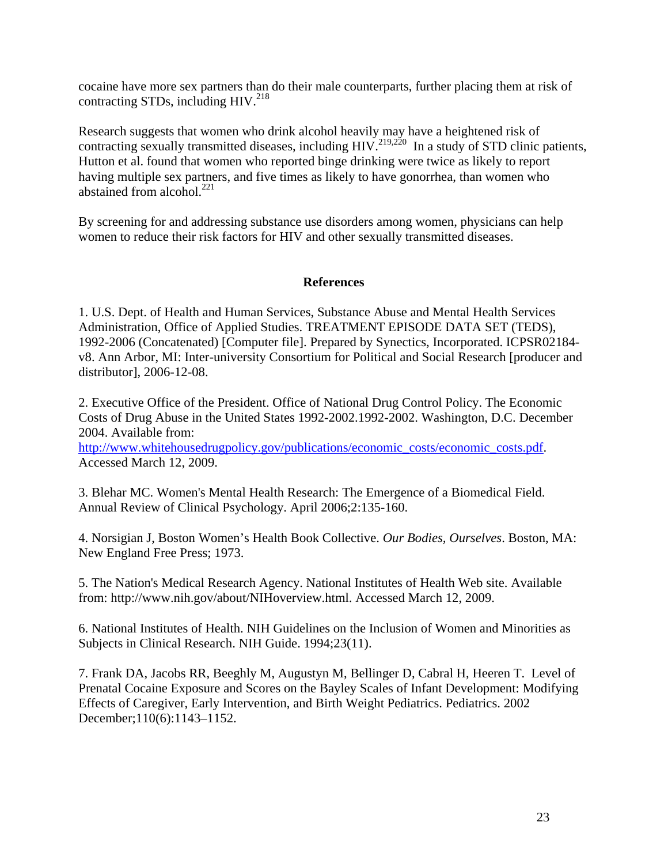cocaine have more sex partners than do their male counterparts, further placing them at risk of contracting STDs, including  $HIV.<sup>218</sup>$ 

Research suggests that women who drink alcohol heavily may have a heightened risk of contracting sexually transmitted diseases, including  $HIV^{219,220}$  In a study of STD clinic patients, Hutton et al. found that women who reported binge drinking were twice as likely to report having multiple sex partners, and five times as likely to have gonorrhea, than women who abstained from alcohol. $^{221}$ 

By screening for and addressing substance use disorders among women, physicians can help women to reduce their risk factors for HIV and other sexually transmitted diseases.

## **References**

1. U.S. Dept. of Health and Human Services, Substance Abuse and Mental Health Services Administration, Office of Applied Studies. TREATMENT EPISODE DATA SET (TEDS), 1992-2006 (Concatenated) [Computer file]. Prepared by Synectics, Incorporated. ICPSR02184 v8. Ann Arbor, MI: Inter-university Consortium for Political and Social Research [producer and distributor], 2006-12-08.

2. Executive Office of the President. Office of National Drug Control Policy. The Economic Costs of Drug Abuse in the United States 1992-2002.1992-2002. Washington, D.C. December 2004. Available from:

[http://www.whitehousedrugpolicy.gov/publications/economic\\_costs/economic\\_costs.pdf](http://www.whitehousedrugpolicy.gov/publications/economic_costs/economic_costs.pdf). Accessed March 12, 2009.

3. Blehar MC. Women's Mental Health Research: The Emergence of a Biomedical Field. Annual Review of Clinical Psychology. April 2006;2:135-160.

4. Norsigian J, Boston Women's Health Book Collective. *Our Bodies, Ourselves*. Boston, MA: New England Free Press; 1973.

5. The Nation's Medical Research Agency. National Institutes of Health Web site. Available from: http://www.nih.gov/about/NIHoverview.html. Accessed March 12, 2009.

6. National Institutes of Health. NIH Guidelines on the Inclusion of Women and Minorities as Subjects in Clinical Research. NIH Guide. 1994;23(11).

7. Frank DA, Jacobs RR, Beeghly M, Augustyn M, Bellinger D, Cabral H, Heeren T. Level of Prenatal Cocaine Exposure and Scores on the Bayley Scales of Infant Development: Modifying Effects of Caregiver, Early Intervention, and Birth Weight Pediatrics. Pediatrics. 2002 December;110(6):1143–1152.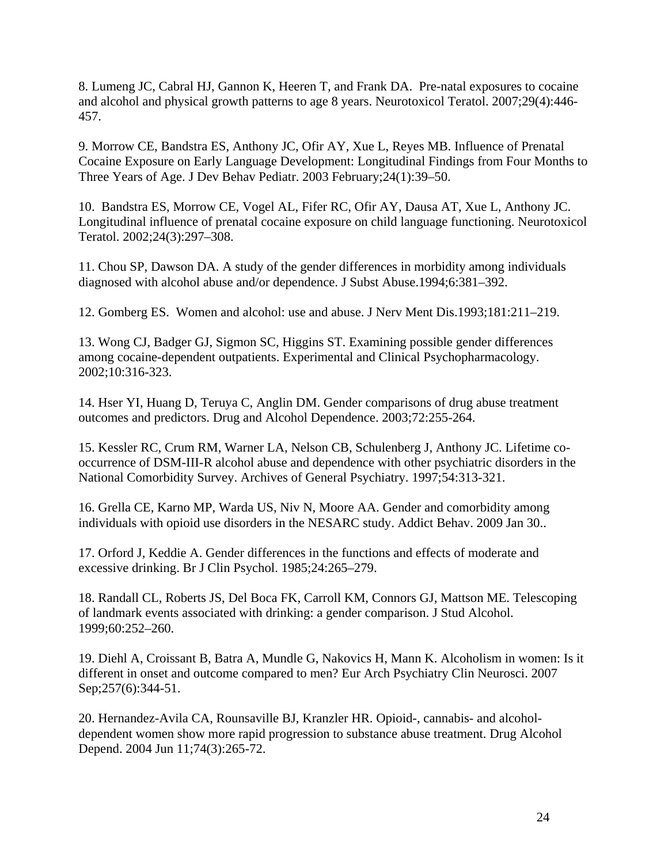8. Lumeng JC, Cabral HJ, Gannon K, Heeren T, and Frank DA. Pre-natal exposures to cocaine and alcohol and physical growth patterns to age 8 years. Neurotoxicol Teratol. 2007;29(4):446- 457.

9. Morrow CE, Bandstra ES, Anthony JC, Ofir AY, Xue L, Reyes MB. Influence of Prenatal Cocaine Exposure on Early Language Development: Longitudinal Findings from Four Months to Three Years of Age. J Dev Behav Pediatr. 2003 February;24(1):39–50.

10. Bandstra ES, Morrow CE, Vogel AL, Fifer RC, Ofir AY, Dausa AT, Xue L, Anthony JC. Longitudinal influence of prenatal cocaine exposure on child language functioning. Neurotoxicol Teratol. 2002;24(3):297–308.

11. Chou SP, Dawson DA. A study of the gender differences in morbidity among individuals diagnosed with alcohol abuse and/or dependence. J Subst Abuse.1994;6:381–392.

12. Gomberg ES. Women and alcohol: use and abuse. J Nerv Ment Dis.1993;181:211–219.

13. Wong CJ, Badger GJ, Sigmon SC, Higgins ST. Examining possible gender differences among cocaine-dependent outpatients. Experimental and Clinical Psychopharmacology. 2002;10:316-323.

14. Hser YI, Huang D, Teruya C, Anglin DM. Gender comparisons of drug abuse treatment outcomes and predictors. Drug and Alcohol Dependence. 2003;72:255-264.

15. Kessler RC, Crum RM, Warner LA, Nelson CB, Schulenberg J, Anthony JC. Lifetime cooccurrence of DSM-III-R alcohol abuse and dependence with other psychiatric disorders in the National Comorbidity Survey. Archives of General Psychiatry. 1997;54:313-321.

16. Grella CE, Karno MP, Warda US, Niv N, Moore AA. Gender and comorbidity among individuals with opioid use disorders in the NESARC study. Addict Behav. 2009 Jan 30..

17. Orford J, Keddie A. Gender differences in the functions and effects of moderate and excessive drinking. Br J Clin Psychol. 1985;24:265–279.

18. Randall CL, Roberts JS, Del Boca FK, Carroll KM, Connors GJ, Mattson ME. Telescoping of landmark events associated with drinking: a gender comparison. J Stud Alcohol. 1999;60:252–260.

19. Diehl A, Croissant B, Batra A, Mundle G, Nakovics H, Mann K. Alcoholism in women: Is it different in onset and outcome compared to men? Eur Arch Psychiatry Clin Neurosci. 2007 Sep;257(6):344-51.

20. Hernandez-Avila CA, Rounsaville BJ, Kranzler HR. Opioid-, cannabis- and alcoholdependent women show more rapid progression to substance abuse treatment. Drug Alcohol Depend. 2004 Jun 11;74(3):265-72.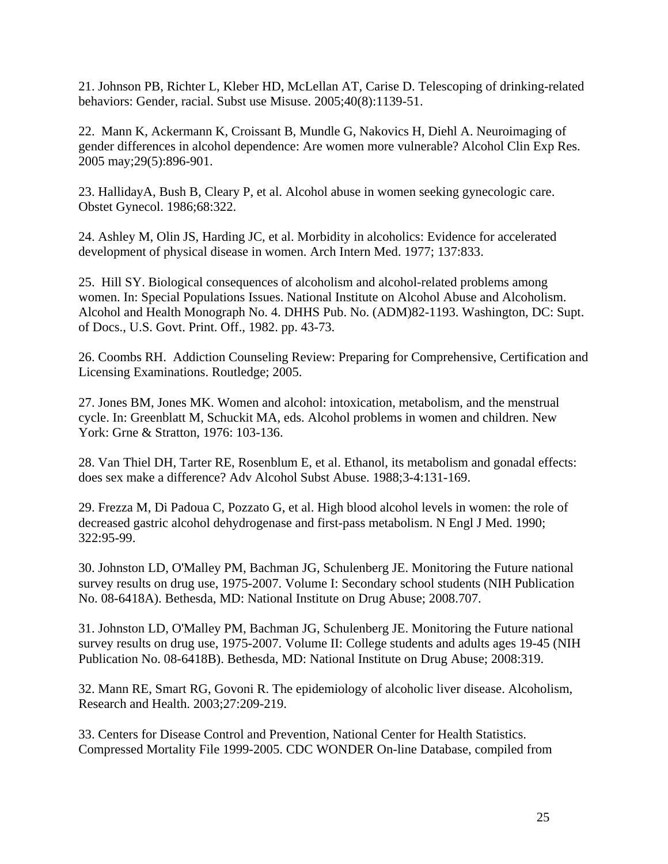21. Johnson PB, Richter L, Kleber HD, McLellan AT, Carise D. Telescoping of drinking-related behaviors: Gender, racial. Subst use Misuse. 2005;40(8):1139-51.

22. Mann K, Ackermann K, Croissant B, Mundle G, Nakovics H, Diehl A. Neuroimaging of gender differences in alcohol dependence: Are women more vulnerable? Alcohol Clin Exp Res. 2005 may;29(5):896-901.

23. HallidayA, Bush B, Cleary P, et al. Alcohol abuse in women seeking gynecologic care. Obstet Gynecol. 1986;68:322.

24. Ashley M, Olin JS, Harding JC, et al. Morbidity in alcoholics: Evidence for accelerated development of physical disease in women. Arch Intern Med. 1977; 137:833.

25. Hill SY. Biological consequences of alcoholism and alcohol-related problems among women. In: Special Populations Issues. National Institute on Alcohol Abuse and Alcoholism. Alcohol and Health Monograph No. 4. DHHS Pub. No. (ADM)82-1193. Washington, DC: Supt. of Docs., U.S. Govt. Print. Off., 1982. pp. 43-73.

26. Coombs RH. Addiction Counseling Review: Preparing for Comprehensive, Certification and Licensing Examinations. Routledge; 2005.

27. Jones BM, Jones MK. Women and alcohol: intoxication, metabolism, and the menstrual cycle. In: Greenblatt M, Schuckit MA, eds. Alcohol problems in women and children. New York: Grne & Stratton, 1976: 103-136.

28. Van Thiel DH, Tarter RE, Rosenblum E, et al. Ethanol, its metabolism and gonadal effects: does sex make a difference? Adv Alcohol Subst Abuse. 1988;3-4:131-169.

29. Frezza M, Di Padoua C, Pozzato G, et al. High blood alcohol levels in women: the role of decreased gastric alcohol dehydrogenase and first-pass metabolism. N Engl J Med. 1990; 322:95-99.

30. Johnston LD, O'Malley PM, Bachman JG, Schulenberg JE. Monitoring the Future national survey results on drug use, 1975-2007. Volume I: Secondary school students (NIH Publication No. 08-6418A). Bethesda, MD: National Institute on Drug Abuse; 2008.707.

31. Johnston LD, O'Malley PM, Bachman JG, Schulenberg JE. Monitoring the Future national survey results on drug use, 1975-2007. Volume II: College students and adults ages 19-45 (NIH Publication No. 08-6418B). Bethesda, MD: National Institute on Drug Abuse; 2008:319.

32. Mann RE, Smart RG, Govoni R. The epidemiology of alcoholic liver disease. Alcoholism, Research and Health. 2003;27:209-219.

33. Centers for Disease Control and Prevention, National Center for Health Statistics. Compressed Mortality File 1999-2005. CDC WONDER On-line Database, compiled from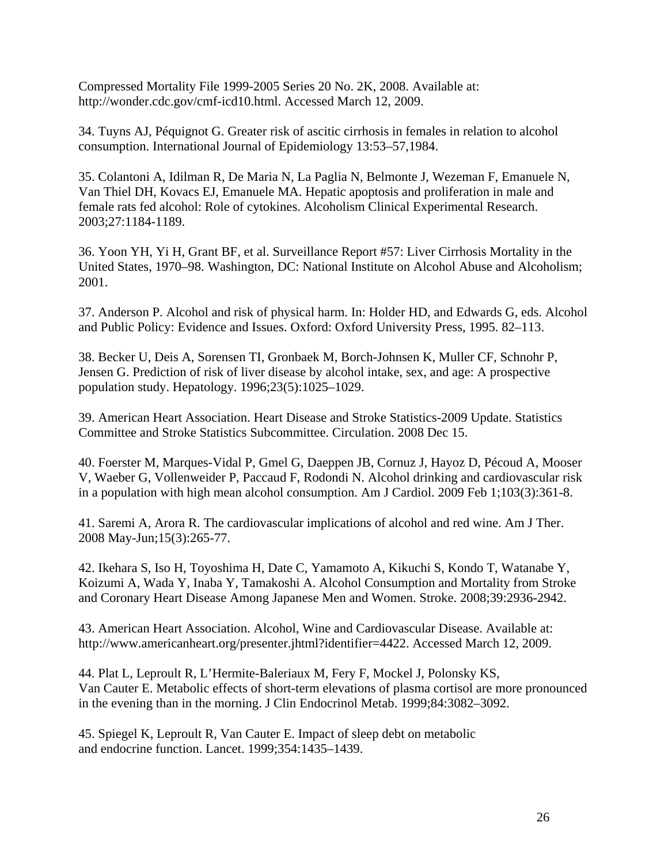Compressed Mortality File 1999-2005 Series 20 No. 2K, 2008. Available at: http://wonder.cdc.gov/cmf-icd10.html. Accessed March 12, 2009.

34. Tuyns AJ, Péquignot G. Greater risk of ascitic cirrhosis in females in relation to alcohol consumption. International Journal of Epidemiology 13:53–57,1984.

35. Colantoni A, Idilman R, De Maria N, La Paglia N, Belmonte J, Wezeman F, Emanuele N, Van Thiel DH, Kovacs EJ, Emanuele MA. Hepatic apoptosis and proliferation in male and female rats fed alcohol: Role of cytokines. Alcoholism Clinical Experimental Research. 2003;27:1184-1189.

36. Yoon YH, Yi H, Grant BF, et al. Surveillance Report #57: Liver Cirrhosis Mortality in the United States, 1970–98. Washington, DC: National Institute on Alcohol Abuse and Alcoholism; 2001.

37. Anderson P. Alcohol and risk of physical harm. In: Holder HD, and Edwards G, eds. Alcohol and Public Policy: Evidence and Issues. Oxford: Oxford University Press, 1995. 82–113.

38. Becker U, Deis A, Sorensen TI, Gronbaek M, Borch-Johnsen K, Muller CF, Schnohr P, Jensen G. Prediction of risk of liver disease by alcohol intake, sex, and age: A prospective population study. Hepatology. 1996;23(5):1025–1029.

39. American Heart Association. Heart Disease and Stroke Statistics-2009 Update. Statistics Committee and Stroke Statistics Subcommittee. Circulation. 2008 Dec 15.

40. Foerster M, Marques-Vidal P, Gmel G, Daeppen JB, Cornuz J, Hayoz D, Pécoud A, Mooser V, Waeber G, Vollenweider P, Paccaud F, Rodondi N. Alcohol drinking and cardiovascular risk in a population with high mean alcohol consumption. Am J Cardiol. 2009 Feb 1;103(3):361-8.

41. Saremi A, Arora R. The cardiovascular implications of alcohol and red wine. Am J Ther. 2008 May-Jun;15(3):265-77.

42. Ikehara S, Iso H, Toyoshima H, Date C, Yamamoto A, Kikuchi S, Kondo T, Watanabe Y, Koizumi A, Wada Y, Inaba Y, Tamakoshi A. Alcohol Consumption and Mortality from Stroke and Coronary Heart Disease Among Japanese Men and Women. Stroke. 2008;39:2936-2942.

43. American Heart Association. Alcohol, Wine and Cardiovascular Disease. Available at: http://www.americanheart.org/presenter.jhtml?identifier=4422. Accessed March 12, 2009.

44. Plat L, Leproult R, L'Hermite-Baleriaux M, Fery F, Mockel J, Polonsky KS, Van Cauter E. Metabolic effects of short-term elevations of plasma cortisol are more pronounced in the evening than in the morning. J Clin Endocrinol Metab. 1999;84:3082–3092.

45. Spiegel K, Leproult R, Van Cauter E. Impact of sleep debt on metabolic and endocrine function. Lancet. 1999;354:1435–1439.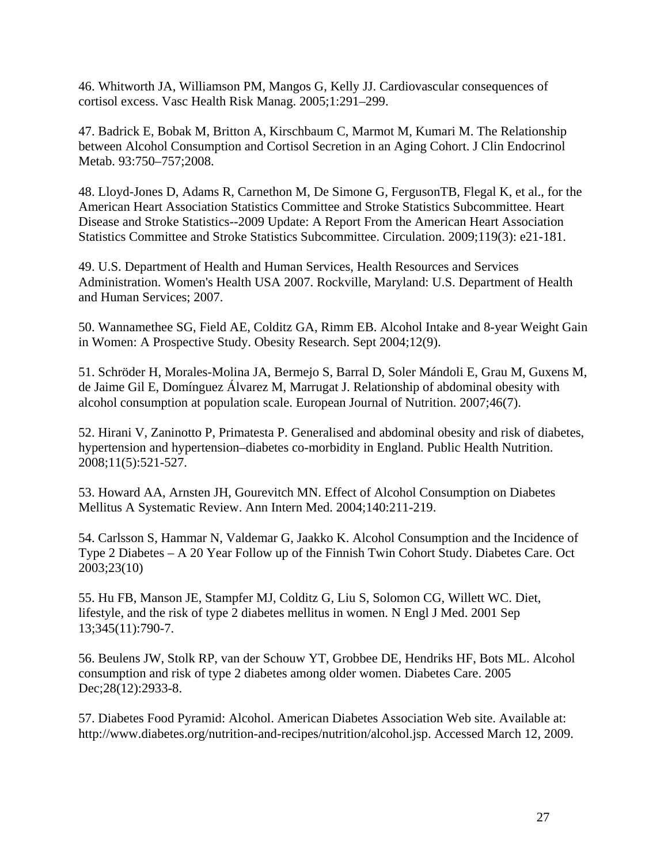46. Whitworth JA, Williamson PM, Mangos G, Kelly JJ. Cardiovascular consequences of cortisol excess. Vasc Health Risk Manag. 2005;1:291–299.

47. Badrick E, Bobak M, Britton A, Kirschbaum C, Marmot M, Kumari M. The Relationship between Alcohol Consumption and Cortisol Secretion in an Aging Cohort. J Clin Endocrinol Metab. 93:750–757;2008.

48. Lloyd-Jones D, Adams R, Carnethon M, De Simone G, FergusonTB, Flegal K, et al., for the American Heart Association Statistics Committee and Stroke Statistics Subcommittee. Heart Disease and Stroke Statistics--2009 Update: A Report From the American Heart Association Statistics Committee and Stroke Statistics Subcommittee. Circulation. 2009;119(3): e21-181.

49. U.S. Department of Health and Human Services, Health Resources and Services Administration. Women's Health USA 2007. Rockville, Maryland: U.S. Department of Health and Human Services; 2007.

50. Wannamethee SG, Field AE, Colditz GA, Rimm EB. Alcohol Intake and 8-year Weight Gain in Women: A Prospective Study. Obesity Research. Sept 2004;12(9).

51. Schröder H, Morales-Molina JA, Bermejo S, Barral D, Soler Mándoli E, Grau M, Guxens M, de Jaime Gil E, Domínguez Álvarez M, Marrugat J. Relationship of abdominal obesity with alcohol consumption at population scale. European Journal of Nutrition. 2007;[46\(7\).](http://www.springerlink.com/content/l10n1k41n872/?p=18b49a86e04d4f24971a241d84ca4372&pi=0)

52. Hirani V, Zaninotto P, Primatesta P. Generalised and abdominal obesity and risk of diabetes, hypertension and hypertension–diabetes co-morbidity in England. Public Health Nutrition. 2008;11(5):521-527.

53. Howard AA, Arnsten JH, Gourevitch MN. Effect of Alcohol Consumption on Diabetes Mellitus A Systematic Review. Ann Intern Med. 2004;140:211-219.

54. Carlsson S, Hammar N, Valdemar G, Jaakko K. Alcohol Consumption and the Incidence of Type 2 Diabetes – A 20 Year Follow up of the Finnish Twin Cohort Study. Diabetes Care. Oct 2003;23(10)

55. Hu FB, Manson JE, Stampfer MJ, Colditz G, Liu S, Solomon CG, Willett WC. Diet, lifestyle, and the risk of type 2 diabetes mellitus in women. N Engl J Med. 2001 Sep 13;345(11):790-7.

56. Beulens JW, Stolk RP, van der Schouw YT, Grobbee DE, Hendriks HF, Bots ML. Alcohol consumption and risk of type 2 diabetes among older women. Diabetes Care. 2005 Dec;28(12):2933-8.

57. Diabetes Food Pyramid: Alcohol. American Diabetes Association Web site. Available at: http://www.diabetes.org/nutrition-and-recipes/nutrition/alcohol.jsp. Accessed March 12, 2009.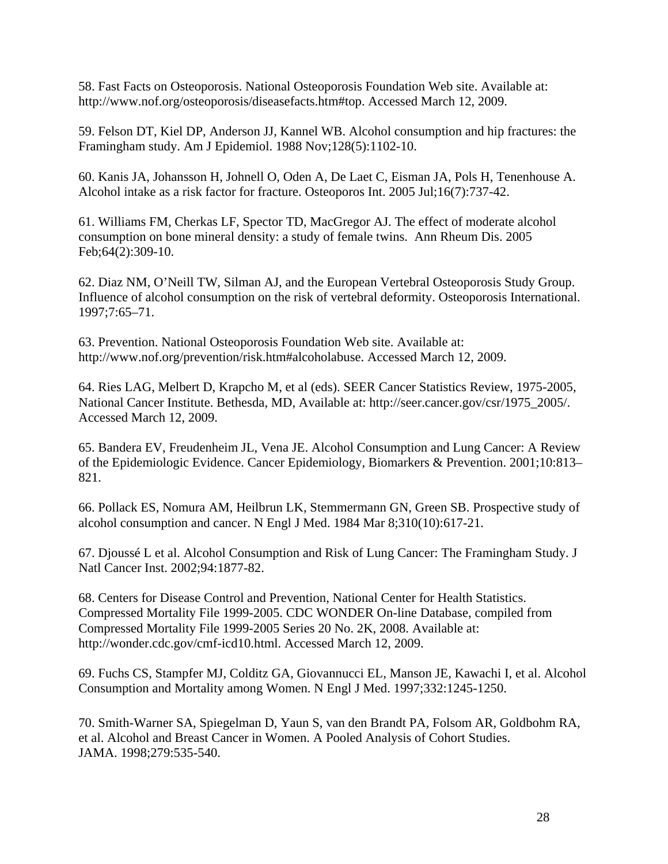58. Fast Facts on Osteoporosis. National Osteoporosis Foundation Web site. Available at: http://www.nof.org/osteoporosis/diseasefacts.htm#top. Accessed March 12, 2009.

59. Felson DT, Kiel DP, Anderson JJ, Kannel WB. Alcohol consumption and hip fractures: the Framingham study. Am J Epidemiol. 1988 Nov;128(5):1102-10.

60. Kanis JA, Johansson H, Johnell O, Oden A, De Laet C, Eisman JA, Pols H, Tenenhouse A. Alcohol intake as a risk factor for fracture. Osteoporos Int. 2005 Jul;16(7):737-42.

61. Williams FM, Cherkas LF, Spector TD, MacGregor AJ. The effect of moderate alcohol consumption on bone mineral density: a study of female twins. Ann Rheum Dis. 2005 Feb;64(2):309-10.

62. Diaz NM, O'Neill TW, Silman AJ, and the European Vertebral Osteoporosis Study Group. Influence of alcohol consumption on the risk of vertebral deformity. Osteoporosis International. 1997;7:65–71.

63. Prevention. National Osteoporosis Foundation Web site. Available at: http://www.nof.org/prevention/risk.htm#alcoholabuse. Accessed March 12, 2009.

64. Ries LAG, Melbert D, Krapcho M, et al (eds). SEER Cancer Statistics Review, 1975-2005, National Cancer Institute. Bethesda, MD, Available at: http://seer.cancer.gov/csr/1975\_2005/. Accessed March 12, 2009.

65. Bandera EV, Freudenheim JL, Vena JE. Alcohol Consumption and Lung Cancer: A Review of the Epidemiologic Evidence. Cancer Epidemiology, Biomarkers & Prevention. 2001;10:813– 821.

66. Pollack ES, Nomura AM, Heilbrun LK, Stemmermann GN, Green SB. Prospective study of alcohol consumption and cancer. N Engl J Med. 1984 Mar 8;310(10):617-21.

67. Djoussé L et al. Alcohol Consumption and Risk of Lung Cancer: The Framingham Study. J Natl Cancer Inst. 2002;94:1877-82.

68. Centers for Disease Control and Prevention, National Center for Health Statistics. Compressed Mortality File 1999-2005. CDC WONDER On-line Database, compiled from Compressed Mortality File 1999-2005 Series 20 No. 2K, 2008. Available at: http://wonder.cdc.gov/cmf-icd10.html. Accessed March 12, 2009.

69. Fuchs CS, Stampfer MJ, Colditz GA, Giovannucci EL, Manson JE, Kawachi I, et al. Alcohol Consumption and Mortality among Women. N Engl J Med. 1997;332:1245-1250.

70. Smith-Warner SA, Spiegelman D, Yaun S, van den Brandt PA, Folsom AR, Goldbohm RA, et al. Alcohol and Breast Cancer in Women. A Pooled Analysis of Cohort Studies. JAMA. 1998;279:535-540.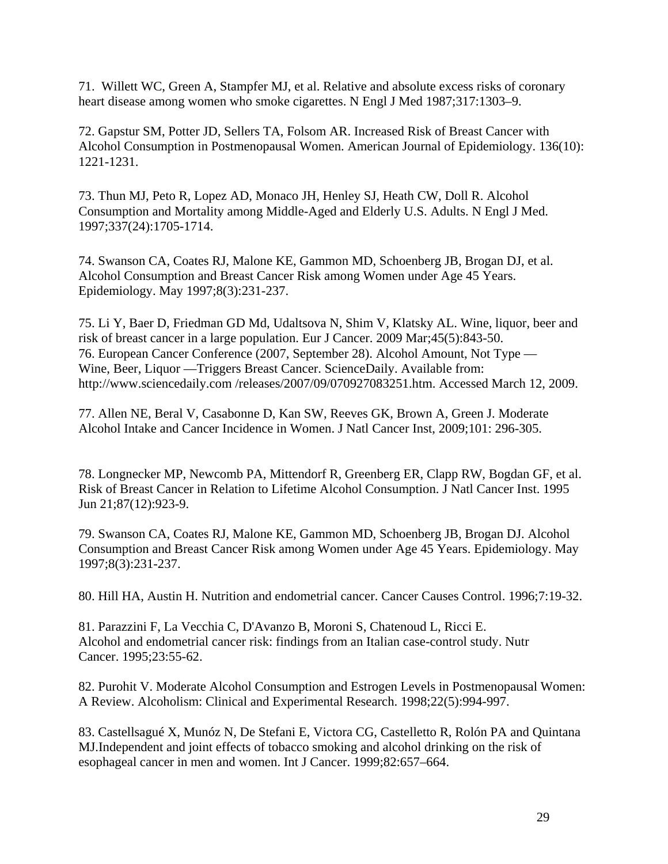71. Willett WC, Green A, Stampfer MJ, et al. Relative and absolute excess risks of coronary heart disease among women who smoke cigarettes. N Engl J Med 1987;317:1303–9.

72. Gapstur SM, Potter JD, Sellers TA, Folsom AR. Increased Risk of Breast Cancer with Alcohol Consumption in Postmenopausal Women. American Journal of Epidemiology. 136(10): 1221-1231.

73. Thun MJ, Peto R, Lopez AD, Monaco JH, Henley SJ, Heath CW, Doll R. Alcohol Consumption and Mortality among Middle-Aged and Elderly U.S. Adults. N Engl J Med. 1997;337(24):1705-1714.

74. Swanson CA, Coates RJ, Malone KE, Gammon MD, Schoenberg JB, Brogan DJ, et al. Alcohol Consumption and Breast Cancer Risk among Women under Age 45 Years. Epidemiology. May 1997;8(3):231-237.

75. Li Y, Baer D, Friedman GD Md, Udaltsova N, Shim V, Klatsky AL. Wine, liquor, beer and risk of breast cancer in a large population. Eur J Cancer. 2009 Mar;45(5):843-50. 76. European Cancer Conference (2007, September 28). Alcohol Amount, Not Type — Wine, Beer, Liquor —Triggers Breast Cancer. ScienceDaily. Available from: http://www.sciencedaily.com /releases/2007/09/070927083251.htm. Accessed March 12, 2009.

77. Allen NE, Beral V, Casabonne D, Kan SW, Reeves GK, Brown A, Green J. Moderate Alcohol Intake and Cancer Incidence in Women. J Natl Cancer Inst, 2009;101: 296-305.

78. Longnecker MP, Newcomb PA, Mittendorf R, Greenberg ER, Clapp RW, Bogdan GF, et al. Risk of Breast Cancer in Relation to Lifetime Alcohol Consumption. J Natl Cancer Inst. 1995 Jun 21;87(12):923-9.

79. Swanson CA, Coates RJ, Malone KE, Gammon MD, Schoenberg JB, Brogan DJ. Alcohol Consumption and Breast Cancer Risk among Women under Age 45 Years. Epidemiology. May 1997;8(3):231-237.

80. Hill HA, Austin H. Nutrition and endometrial cancer. Cancer Causes Control. 1996;7:19-32.

81. Parazzini F, La Vecchia C, D'Avanzo B, Moroni S, Chatenoud L, Ricci E. Alcohol and endometrial cancer risk: findings from an Italian case-control study. Nutr Cancer. 1995;23:55-62.

82. Purohit V. Moderate Alcohol Consumption and Estrogen Levels in Postmenopausal Women: A Review. Alcoholism: Clinical and Experimental Research. 1998;22(5):994-997.

83. Castellsagué X, Munóz N, De Stefani E, Victora CG, Castelletto R, Rolón PA and Quintana MJ.Independent and joint effects of tobacco smoking and alcohol drinking on the risk of esophageal cancer in men and women. Int J Cancer. 1999;82:657–664.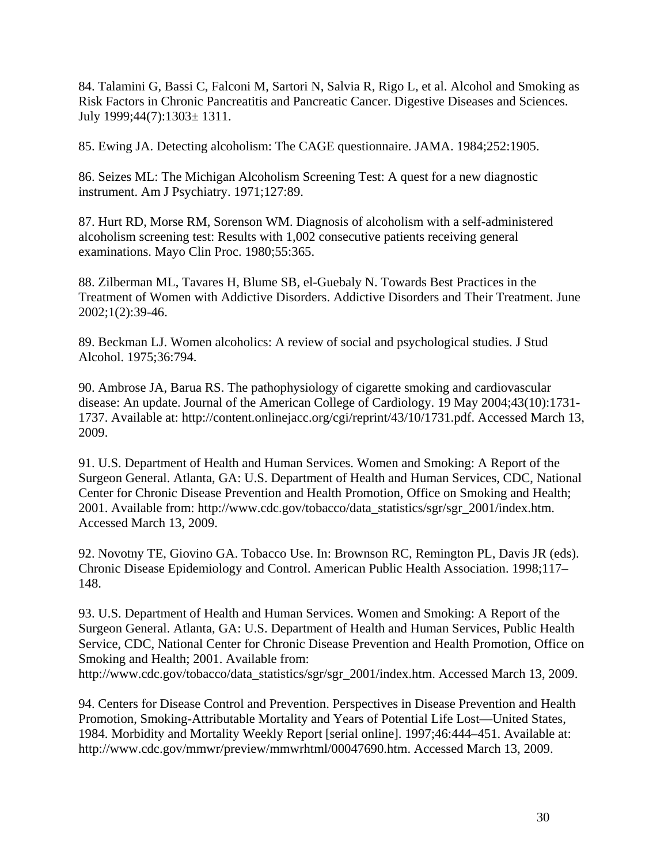84. Talamini G, Bassi C, Falconi M, Sartori N, Salvia R, Rigo L, et al. Alcohol and Smoking as Risk Factors in Chronic Pancreatitis and Pancreatic Cancer. Digestive Diseases and Sciences. July 1999;44(7):1303± 1311.

85. Ewing JA. Detecting alcoholism: The CAGE questionnaire. JAMA. 1984;252:1905.

86. Seizes ML: The Michigan Alcoholism Screening Test: A quest for a new diagnostic instrument. Am J Psychiatry. 1971;127:89.

87. Hurt RD, Morse RM, Sorenson WM. Diagnosis of alcoholism with a self-administered alcoholism screening test: Results with 1,002 consecutive patients receiving general examinations. Mayo Clin Proc. 1980;55:365.

88. Zilberman ML, Tavares H, Blume SB, el-Guebaly N. Towards Best Practices in the Treatment of Women with Addictive Disorders. Addictive Disorders and Their Treatment. June 2002;1(2):39-46.

89. Beckman LJ. Women alcoholics: A review of social and psychological studies. J Stud Alcohol. 1975;36:794.

90. Ambrose JA, Barua RS. The pathophysiology of cigarette smoking and cardiovascular disease: An update. Journal of the American College of Cardiology. 19 May 2004;43(10):1731- 1737. Available at: http://content.onlinejacc.org/cgi/reprint/43/10/1731.pdf. Accessed March 13, 2009.

91. U.S. Department of Health and Human Services. [Women and Smoking: A Report of the](http://www.cdc.gov/tobacco/data_statistics/sgr/sgr_2001/index.htm)  [Surgeon General](http://www.cdc.gov/tobacco/data_statistics/sgr/sgr_2001/index.htm). Atlanta, GA: U.S. Department of Health and Human Services, CDC, National Center for Chronic Disease Prevention and Health Promotion, Office on Smoking and Health; 2001. Available from: http://www.cdc.gov/tobacco/data\_statistics/sgr/sgr\_2001/index.htm. Accessed March 13, 2009.

92. Novotny TE, Giovino GA. Tobacco Use. In: Brownson RC, Remington PL, Davis JR (eds). Chronic Disease Epidemiology and Control. American Public Health Association. 1998;117– 148.

93. U.S. Department of Health and Human Services. Women and Smoking: A Report of the Surgeon General. Atlanta, GA: U.S. Department of Health and Human Services, Public Health Service, CDC, National Center for Chronic Disease Prevention and Health Promotion, Office on Smoking and Health; 2001. Available from:

http://www.cdc.gov/tobacco/data\_statistics/sgr/sgr\_2001/index.htm. Accessed March 13, 2009.

94. Centers for Disease Control and Prevention. [Perspectives in Disease Prevention and Health](http://www.cdc.gov/mmwr/preview/mmwrhtml/00047690.htm)  [Promotion, Smoking-Attributable Mortality and Years of Potential Life Lost—United States,](http://www.cdc.gov/mmwr/preview/mmwrhtml/00047690.htm)  [1984](http://www.cdc.gov/mmwr/preview/mmwrhtml/00047690.htm). Morbidity and Mortality Weekly Report [serial online]. 1997;46:444–451. Available at: http://www.cdc.gov/mmwr/preview/mmwrhtml/00047690.htm. Accessed March 13, 2009.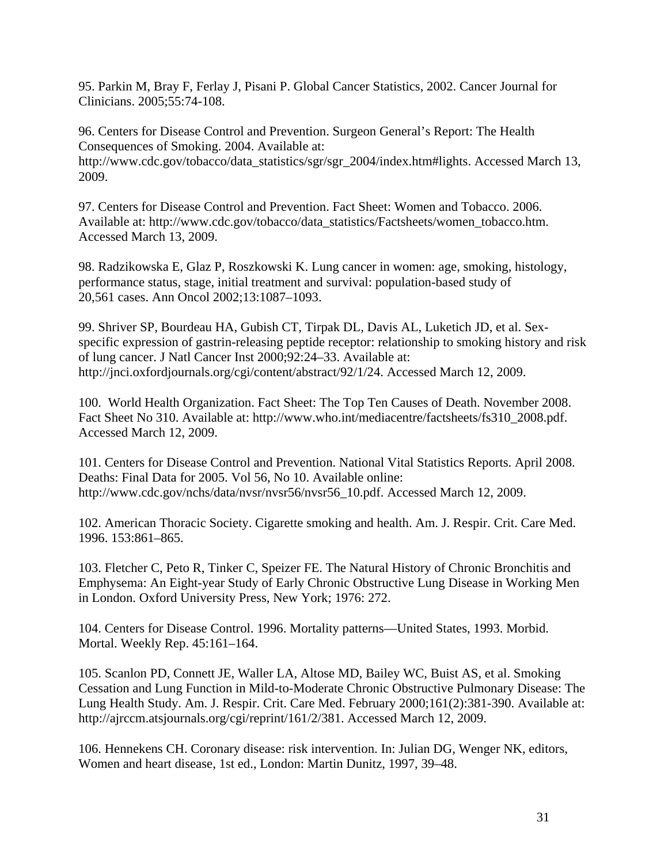95. Parkin M, Bray F, Ferlay J, Pisani P. Global Cancer Statistics, 2002. Cancer Journal for Clinicians. 2005;55:74-108.

96. Centers for Disease Control and Prevention. Surgeon General's Report: The Health Consequences of Smoking. 2004. Available at: [http://www.cdc.gov/tobacco/data\\_statistics/sgr/sgr\\_2004/index.htm#lights](http://www.cdc.gov/tobacco/data_statistics/sgr/sgr_2004/index.htm#lights). Accessed March 13, 2009.

97. Centers for Disease Control and Prevention. Fact Sheet: Women and Tobacco. 2006. Available at: http://www.cdc.gov/tobacco/data\_statistics/Factsheets/women\_tobacco.htm. Accessed March 13, 2009.

98. Radzikowska E, Glaz P, Roszkowski K. Lung cancer in women: age, smoking, histology, performance status, stage, initial treatment and survival: population-based study of 20,561 cases. Ann Oncol 2002;13:1087–1093.

99. Shriver SP, Bourdeau HA, Gubish CT, Tirpak DL, Davis AL, Luketich JD, et al. Sexspecific expression of gastrin-releasing peptide receptor: relationship to smoking history and risk of lung cancer. J Natl Cancer Inst 2000;92:24–33. Available at: http://jnci.oxfordjournals.org/cgi/content/abstract/92/1/24. Accessed March 12, 2009.

100. World Health Organization. Fact Sheet: The Top Ten Causes of Death. November 2008. Fact Sheet No 310. Available at: http://www.who.int/mediacentre/factsheets/fs310\_2008.pdf. Accessed March 12, 2009.

101. Centers for Disease Control and Prevention. National Vital Statistics Reports. April 2008. Deaths: Final Data for 2005. Vol 56, No 10. Available online: http://www.cdc.gov/nchs/data/nvsr/nvsr56/nvsr56\_10.pdf. Accessed March 12, 2009.

102. American Thoracic Society. Cigarette smoking and health. Am. J. Respir. Crit. Care Med. 1996. 153:861–865.

103. Fletcher C, Peto R, Tinker C, Speizer FE. The Natural History of Chronic Bronchitis and Emphysema: An Eight-year Study of Early Chronic Obstructive Lung Disease in Working Men in London. Oxford University Press, New York; 1976: 272.

104. Centers for Disease Control. 1996. Mortality patterns—United States, 1993. Morbid. Mortal. Weekly Rep. 45:161–164.

105. Scanlon PD, Connett JE, Waller LA, Altose MD, Bailey WC, Buist AS, et al. Smoking Cessation and Lung Function in Mild-to-Moderate Chronic Obstructive Pulmonary Disease: The Lung Health Study. Am. J. Respir. Crit. Care Med. February 2000;161(2):381-390. Available at: http://ajrccm.atsjournals.org/cgi/reprint/161/2/381. Accessed March 12, 2009.

106. Hennekens CH. Coronary disease: risk intervention. In: Julian DG, Wenger NK, editors, Women and heart disease, 1st ed., London: Martin Dunitz, 1997, 39–48.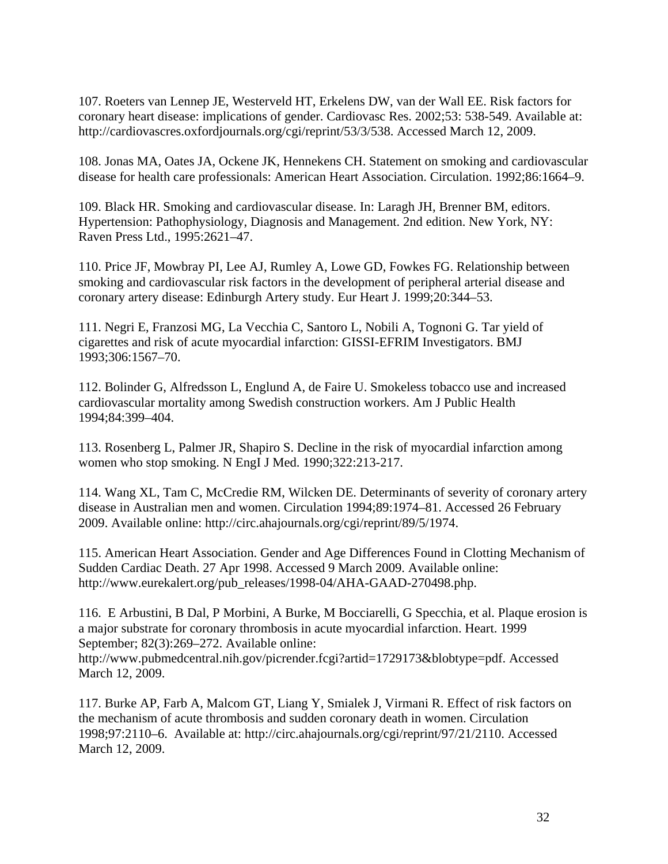107. Roeters van Lennep JE, Westerveld HT, Erkelens DW, van der Wall EE. Risk factors for coronary heart disease: implications of gender. Cardiovasc Res. 2002;53: 538-549. Available at: http://cardiovascres.oxfordjournals.org/cgi/reprint/53/3/538. Accessed March 12, 2009.

108. Jonas MA, Oates JA, Ockene JK, Hennekens CH. Statement on smoking and cardiovascular disease for health care professionals: American Heart Association. Circulation. 1992;86:1664–9.

109. Black HR. Smoking and cardiovascular disease. In: Laragh JH, Brenner BM, editors. Hypertension: Pathophysiology, Diagnosis and Management. 2nd edition. New York, NY: Raven Press Ltd., 1995:2621–47.

110. Price JF, Mowbray PI, Lee AJ, Rumley A, Lowe GD, Fowkes FG. Relationship between smoking and cardiovascular risk factors in the development of peripheral arterial disease and coronary artery disease: Edinburgh Artery study. Eur Heart J. 1999;20:344–53.

111. Negri E, Franzosi MG, La Vecchia C, Santoro L, Nobili A, Tognoni G. Tar yield of cigarettes and risk of acute myocardial infarction: GISSI-EFRIM Investigators. BMJ 1993;306:1567–70.

112. Bolinder G, Alfredsson L, Englund A, de Faire U. Smokeless tobacco use and increased cardiovascular mortality among Swedish construction workers. Am J Public Health 1994;84:399–404.

113. Rosenberg L, Palmer JR, Shapiro S. Decline in the risk of myocardial infarction among women who stop smoking. N EngI J Med. 1990;322:213-217.

114. Wang XL, Tam C, McCredie RM, Wilcken DE. Determinants of severity of coronary artery disease in Australian men and women. Circulation 1994;89:1974–81. Accessed 26 February 2009. Available online: http://circ.ahajournals.org/cgi/reprint/89/5/1974.

115. American Heart Association. Gender and Age Differences Found in Clotting Mechanism of Sudden Cardiac Death. 27 Apr 1998. Accessed 9 March 2009. Available online: http://www.eurekalert.org/pub\_releases/1998-04/AHA-GAAD-270498.php.

116. E Arbustini, B Dal, P Morbini, A Burke, M Bocciarelli, G Specchia, et al. Plaque erosion is a major substrate for coronary thrombosis in acute myocardial infarction. Heart. 1999 September; 82(3):269–272. Available online:

http://www.pubmedcentral.nih.gov/picrender.fcgi?artid=1729173&blobtype=pdf. Accessed March 12, 2009.

117. Burke AP, Farb A, Malcom GT, Liang Y, Smialek J, Virmani R. Effect of risk factors on the mechanism of acute thrombosis and sudden coronary death in women. Circulation 1998;97:2110–6. Available at: http://circ.ahajournals.org/cgi/reprint/97/21/2110. Accessed March 12, 2009.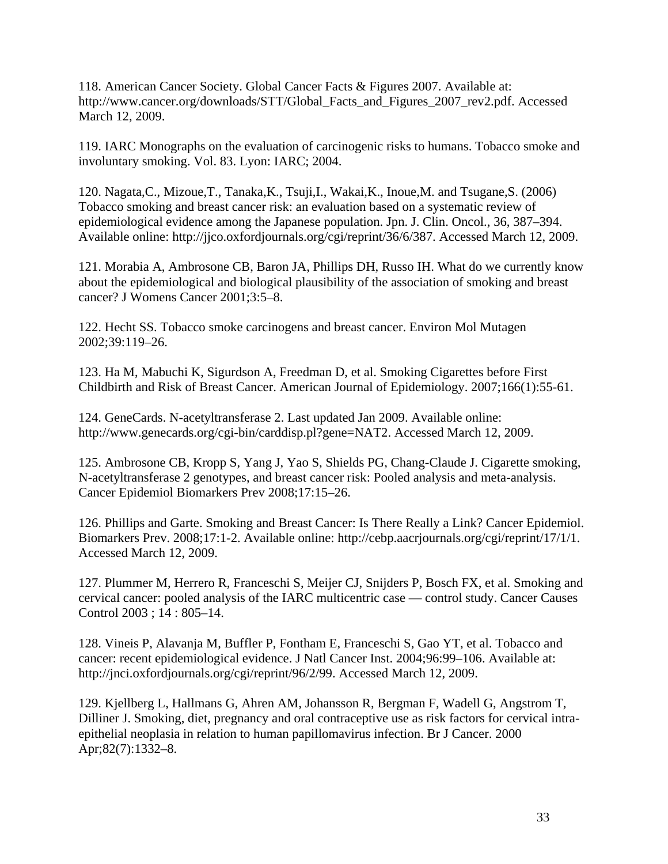118. American Cancer Society. Global Cancer Facts & Figures 2007. Available at: http://www.cancer.org/downloads/STT/Global\_Facts\_and\_Figures\_2007\_rev2.pdf. Accessed March 12, 2009.

119. IARC Monographs on the evaluation of carcinogenic risks to humans. Tobacco smoke and involuntary smoking. Vol. 83. Lyon: IARC; 2004.

120. Nagata,C., Mizoue,T., Tanaka,K., Tsuji,I., Wakai,K., Inoue,M. and Tsugane,S. (2006) Tobacco smoking and breast cancer risk: an evaluation based on a systematic review of epidemiological evidence among the Japanese population. Jpn. J. Clin. Oncol., 36, 387–394. Available online: http://jjco.oxfordjournals.org/cgi/reprint/36/6/387. Accessed March 12, 2009.

121. Morabia A, Ambrosone CB, Baron JA, Phillips DH, Russo IH. What do we currently know about the epidemiological and biological plausibility of the association of smoking and breast cancer? J Womens Cancer 2001;3:5–8.

122. Hecht SS. Tobacco smoke carcinogens and breast cancer. Environ Mol Mutagen 2002;39:119–26.

123. Ha M, Mabuchi K, Sigurdson A, Freedman D, et al. Smoking Cigarettes before First Childbirth and Risk of Breast Cancer. American Journal of Epidemiology. 2007;166(1):55-61.

124. GeneCards. N-acetyltransferase 2. Last updated Jan 2009. Available online: http://www.genecards.org/cgi-bin/carddisp.pl?gene=NAT2. Accessed March 12, 2009.

125. Ambrosone CB, Kropp S, Yang J, Yao S, Shields PG, Chang-Claude J. Cigarette smoking, N-acetyltransferase 2 genotypes, and breast cancer risk: Pooled analysis and meta-analysis. Cancer Epidemiol Biomarkers Prev 2008;17:15–26.

126. Phillips and Garte. Smoking and Breast Cancer: Is There Really a Link? Cancer Epidemiol. Biomarkers Prev. 2008;17:1-2. Available online: http://cebp.aacrjournals.org/cgi/reprint/17/1/1. Accessed March 12, 2009.

127. Plummer M, Herrero R, Franceschi S, Meijer CJ, Snijders P, Bosch FX, et al. Smoking and cervical cancer: pooled analysis of the IARC multicentric case — control study. Cancer Causes Control 2003 ; 14 : 805–14.

128. Vineis P, Alavanja M, Buffler P, Fontham E, Franceschi S, Gao YT, et al. Tobacco and cancer: recent epidemiological evidence. J Natl Cancer Inst. 2004;96:99–106. Available at: http://jnci.oxfordjournals.org/cgi/reprint/96/2/99. Accessed March 12, 2009.

129. Kjellberg L, Hallmans G, Ahren AM, Johansson R, Bergman F, Wadell G, Angstrom T, Dilliner J. Smoking, diet, pregnancy and oral contraceptive use as risk factors for cervical intraepithelial neoplasia in relation to human papillomavirus infection. Br J Cancer. 2000 Apr;82(7):1332–8.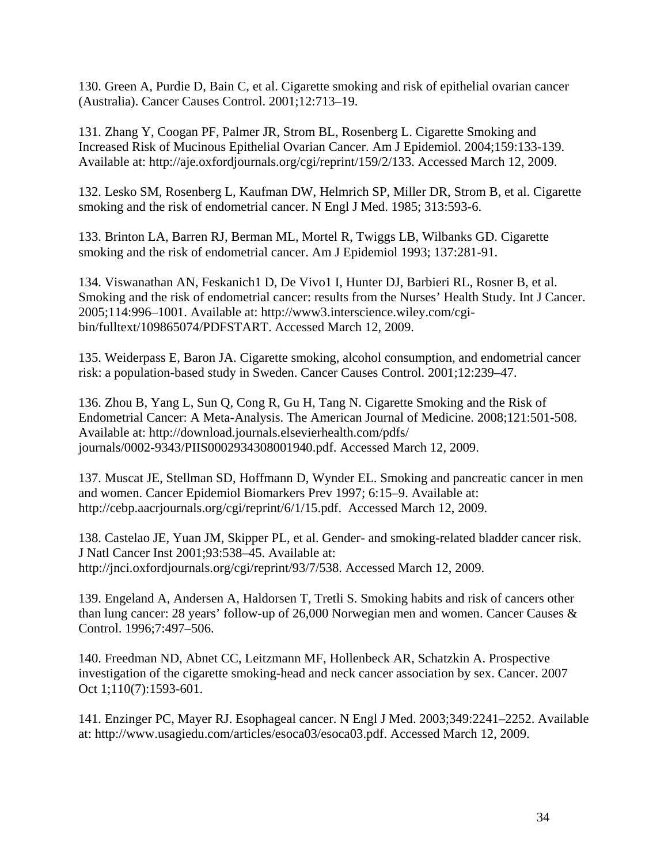130. Green A, Purdie D, Bain C, et al. Cigarette smoking and risk of epithelial ovarian cancer (Australia). Cancer Causes Control. 2001;12:713–19.

131. Zhang Y, Coogan PF, Palmer JR, Strom BL, Rosenberg L. Cigarette Smoking and Increased Risk of Mucinous Epithelial Ovarian Cancer. Am J Epidemiol. 2004;159:133-139. Available at: http://aje.oxfordjournals.org/cgi/reprint/159/2/133. Accessed March 12, 2009.

132. Lesko SM, Rosenberg L, Kaufman DW, Helmrich SP, Miller DR, Strom B, et al. Cigarette smoking and the risk of endometrial cancer. N Engl J Med. 1985; 313:593-6.

133. Brinton LA, Barren RJ, Berman ML, Mortel R, Twiggs LB, Wilbanks GD. Cigarette smoking and the risk of endometrial cancer. Am J Epidemiol 1993; 137:281-91.

134. Viswanathan AN, Feskanich1 D, De Vivo1 I, Hunter DJ, Barbieri RL, Rosner B, et al. Smoking and the risk of endometrial cancer: results from the Nurses' Health Study. Int J Cancer. 2005;114:996–1001. Available at: http://www3.interscience.wiley.com/cgibin/fulltext/109865074/PDFSTART. Accessed March 12, 2009.

135. Weiderpass E, Baron JA. Cigarette smoking, alcohol consumption, and endometrial cancer risk: a population-based study in Sweden. Cancer Causes Control. 2001;12:239–47.

136. Zhou B, Yang L, Sun Q, Cong R, Gu H, Tang N. Cigarette Smoking and the Risk of Endometrial Cancer: A Meta-Analysis. The American Journal of Medicine. 2008;121:501-508. Available at: http://download.journals.elsevierhealth.com/pdfs/ journals/0002-9343/PIIS0002934308001940.pdf. Accessed March 12, 2009.

137. Muscat JE, Stellman SD, Hoffmann D, Wynder EL. Smoking and pancreatic cancer in men and women. Cancer Epidemiol Biomarkers Prev 1997; 6:15–9. Available at: http://cebp.aacrjournals.org/cgi/reprint/6/1/15.pdf. Accessed March 12, 2009.

138. Castelao JE, Yuan JM, Skipper PL, et al. Gender- and smoking-related bladder cancer risk. J Natl Cancer Inst 2001;93:538–45. Available at: http://jnci.oxfordjournals.org/cgi/reprint/93/7/538. Accessed March 12, 2009.

139. Engeland A, Andersen A, Haldorsen T, Tretli S. Smoking habits and risk of cancers other than lung cancer: 28 years' follow-up of 26,000 Norwegian men and women. Cancer Causes & Control. 1996;7:497–506.

140. [Freedman ND](http://www.ncbi.nlm.nih.gov/sites/entrez?Db=pubmed&Cmd=Search&Term=%22Freedman%20ND%22%5BAuthor%5D&itool=EntrezSystem2.PEntrez.Pubmed.Pubmed_ResultsPanel.Pubmed_DiscoveryPanel.Pubmed_RVAbstractPlus), [Abnet CC,](http://www.ncbi.nlm.nih.gov/sites/entrez?Db=pubmed&Cmd=Search&Term=%22Abnet%20CC%22%5BAuthor%5D&itool=EntrezSystem2.PEntrez.Pubmed.Pubmed_ResultsPanel.Pubmed_DiscoveryPanel.Pubmed_RVAbstractPlus) [Leitzmann MF](http://www.ncbi.nlm.nih.gov/sites/entrez?Db=pubmed&Cmd=Search&Term=%22Leitzmann%20MF%22%5BAuthor%5D&itool=EntrezSystem2.PEntrez.Pubmed.Pubmed_ResultsPanel.Pubmed_DiscoveryPanel.Pubmed_RVAbstractPlus), [Hollenbeck AR](http://www.ncbi.nlm.nih.gov/sites/entrez?Db=pubmed&Cmd=Search&Term=%22Hollenbeck%20AR%22%5BAuthor%5D&itool=EntrezSystem2.PEntrez.Pubmed.Pubmed_ResultsPanel.Pubmed_DiscoveryPanel.Pubmed_RVAbstractPlus), [Schatzkin A](http://www.ncbi.nlm.nih.gov/sites/entrez?Db=pubmed&Cmd=Search&Term=%22Schatzkin%20A%22%5BAuthor%5D&itool=EntrezSystem2.PEntrez.Pubmed.Pubmed_ResultsPanel.Pubmed_DiscoveryPanel.Pubmed_RVAbstractPlus). Prospective investigation of the cigarette smoking-head and neck cancer association by sex. [Cancer.](javascript:AL_get(this, ) 2007 Oct 1;110(7):1593-601.

141. Enzinger PC, Mayer RJ. Esophageal cancer. N Engl J Med. 2003;349:2241–2252. Available at: http://www.usagiedu.com/articles/esoca03/esoca03.pdf. Accessed March 12, 2009.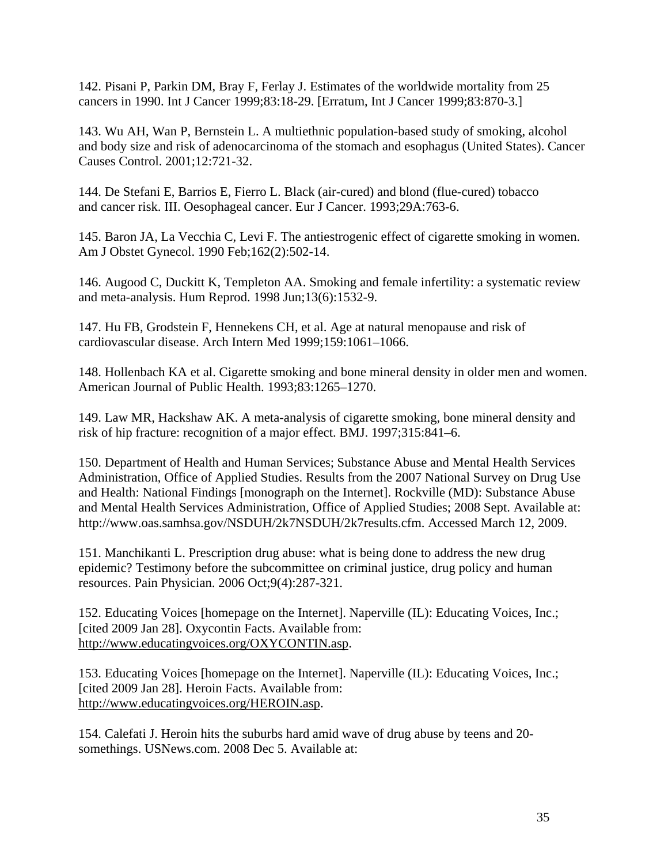142. Pisani P, Parkin DM, Bray F, Ferlay J. Estimates of the worldwide mortality from 25 cancers in 1990. Int J Cancer 1999;83:18-29. [Erratum, Int J Cancer 1999;83:870-3.]

143. Wu AH, Wan P, Bernstein L. A multiethnic population-based study of smoking, alcohol and body size and risk of adenocarcinoma of the stomach and esophagus (United States). Cancer Causes Control. 2001;12:721-32.

144. De Stefani E, Barrios E, Fierro L. Black (air-cured) and blond (flue-cured) tobacco and cancer risk. III. Oesophageal cancer. Eur J Cancer. 1993;29A:763-6.

145. Baron JA, La Vecchia C, Levi F. The antiestrogenic effect of cigarette smoking in women. Am J Obstet Gynecol. 1990 Feb;162(2):502-14.

146. Augood C, Duckitt K, Templeton AA. Smoking and female infertility: a systematic review and meta-analysis. Hum Reprod. 1998 Jun;13(6):1532-9.

147. Hu FB, Grodstein F, Hennekens CH, et al. Age at natural menopause and risk of cardiovascular disease. Arch Intern Med 1999;159:1061–1066.

148. Hollenbach KA et al. Cigarette smoking and bone mineral density in older men and women. American Journal of Public Health. 1993;83:1265–1270.

149. Law MR, Hackshaw AK. A meta-analysis of cigarette smoking, bone mineral density and risk of hip fracture: recognition of a major effect. BMJ. 1997;315:841–6.

150. Department of Health and Human Services; Substance Abuse and Mental Health Services Administration, Office of Applied Studies. Results from the 2007 National Survey on Drug Use and Health: National Findings [monograph on the Internet]. Rockville (MD): Substance Abuse and Mental Health Services Administration, Office of Applied Studies; 2008 Sept. Available at: http://www.oas.samhsa.gov/NSDUH/2k7NSDUH/2k7results.cfm. Accessed March 12, 2009.

151. Manchikanti L. Prescription drug abuse: what is being done to address the new drug epidemic? Testimony before the subcommittee on criminal justice, drug policy and human resources. Pain Physician. 2006 Oct;9(4):287-321.

152. Educating Voices [homepage on the Internet]. Naperville (IL): Educating Voices, Inc.; [cited 2009 Jan 28]. Oxycontin Facts. Available from: [http://www.educatingvoices.org/OXYCONTIN.asp.](http://www.educatingvoices.org/OXYCONTIN.asp)

153. Educating Voices [homepage on the Internet]. Naperville (IL): Educating Voices, Inc.; [cited 2009 Jan 28]. Heroin Facts. Available from: [http://www.educatingvoices.org/HEROIN.asp.](http://www.educatingvoices.org/HEROIN.asp)

154. Calefati J. Heroin hits the suburbs hard amid wave of drug abuse by teens and 20 somethings. USNews.com. 2008 Dec 5. Available at: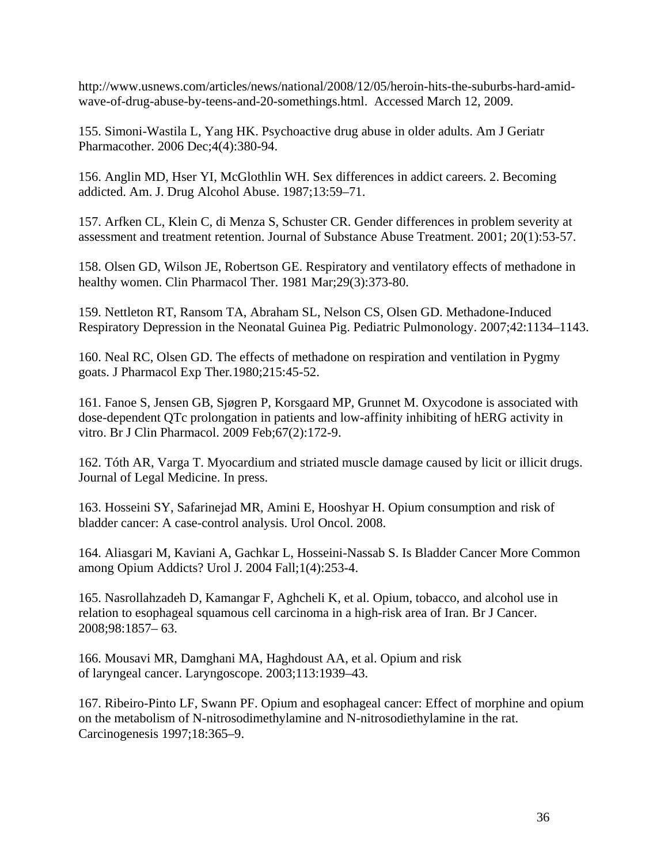http://www.usnews.com/articles/news/national/2008/12/05/heroin-hits-the-suburbs-hard-amidwave-of-drug-abuse-by-teens-and-20-somethings.html. Accessed March 12, 2009.

155. Simoni-Wastila L, Yang HK. Psychoactive drug abuse in older adults. Am J Geriatr Pharmacother. 2006 Dec;4(4):380-94.

156. Anglin MD, Hser YI, McGlothlin WH. Sex differences in addict careers. 2. Becoming addicted. Am. J. Drug Alcohol Abuse. 1987;13:59–71.

157. Arfken CL, Klein C, di Menza S, Schuster CR. Gender differences in problem severity at assessment and treatment retention. Journal of Substance Abuse Treatment. 2001; 20(1):53-57.

158. Olsen GD, Wilson JE, Robertson GE. Respiratory and ventilatory effects of methadone in healthy women. Clin Pharmacol Ther. 1981 Mar;29(3):373-80.

159. Nettleton RT, Ransom TA, Abraham SL, Nelson CS, Olsen GD. Methadone-Induced Respiratory Depression in the Neonatal Guinea Pig. Pediatric Pulmonology. 2007;42:1134–1143.

160. Neal RC, Olsen GD. The effects of methadone on respiration and ventilation in Pygmy goats. J Pharmacol Exp Ther*.*1980;215:45-52.

161. Fanoe S, Jensen GB, Sjøgren P, Korsgaard MP, Grunnet M. Oxycodone is associated with dose-dependent QTc prolongation in patients and low-affinity inhibiting of hERG activity in vitro. Br J Clin Pharmacol. 2009 Feb;67(2):172-9.

162. Tóth AR, Varga T. Myocardium and striated muscle damage caused by licit or illicit drugs. Journal of Legal Medicine. In press.

163. Hosseini SY, Safarinejad MR, Amini E, Hooshyar H. Opium consumption and risk of bladder cancer: A case-control analysis. Urol Oncol. 2008.

164. Aliasgari M, Kaviani A, Gachkar L, Hosseini-Nassab S. Is Bladder Cancer More Common among Opium Addicts? Urol J. 2004 Fall;1(4):253-4.

165. Nasrollahzadeh D, Kamangar F, Aghcheli K, et al. Opium, tobacco, and alcohol use in relation to esophageal squamous cell carcinoma in a high-risk area of Iran. Br J Cancer. 2008;98:1857– 63.

166. Mousavi MR, Damghani MA, Haghdoust AA, et al. Opium and risk of laryngeal cancer. Laryngoscope. 2003;113:1939–43.

167. Ribeiro-Pinto LF, Swann PF. Opium and esophageal cancer: Effect of morphine and opium on the metabolism of N-nitrosodimethylamine and N-nitrosodiethylamine in the rat. Carcinogenesis 1997;18:365–9.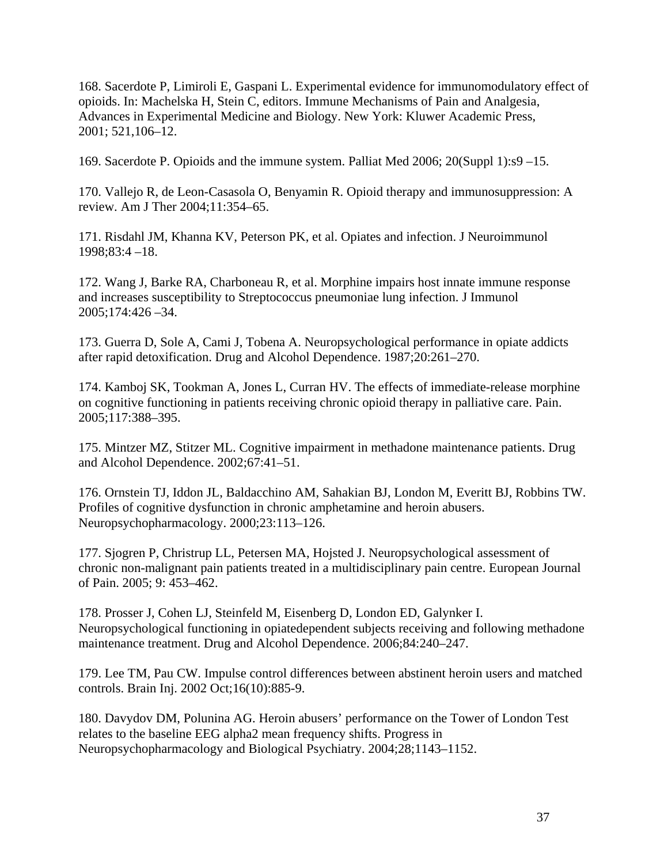168. Sacerdote P, Limiroli E, Gaspani L. Experimental evidence for immunomodulatory effect of opioids. In: Machelska H, Stein C, editors. Immune Mechanisms of Pain and Analgesia, Advances in Experimental Medicine and Biology. New York: Kluwer Academic Press, 2001; 521,106–12.

169. Sacerdote P. Opioids and the immune system. Palliat Med 2006; 20(Suppl 1):s9 –15.

170. Vallejo R, de Leon-Casasola O, Benyamin R. Opioid therapy and immunosuppression: A review. Am J Ther 2004;11:354–65.

171. Risdahl JM, Khanna KV, Peterson PK, et al. Opiates and infection. J Neuroimmunol 1998;83:4 –18.

172. Wang J, Barke RA, Charboneau R, et al. Morphine impairs host innate immune response and increases susceptibility to Streptococcus pneumoniae lung infection. J Immunol 2005;174:426 –34.

173. Guerra D, Sole A, Cami J, Tobena A. Neuropsychological performance in opiate addicts after rapid detoxification. Drug and Alcohol Dependence. 1987;20:261–270.

174. Kamboj SK, Tookman A, Jones L, Curran HV. The effects of immediate-release morphine on cognitive functioning in patients receiving chronic opioid therapy in palliative care. Pain. 2005;117:388–395.

175. Mintzer MZ, Stitzer ML. Cognitive impairment in methadone maintenance patients. Drug and Alcohol Dependence. 2002;67:41–51.

176. Ornstein TJ, Iddon JL, Baldacchino AM, Sahakian BJ, London M, Everitt BJ, Robbins TW. Profiles of cognitive dysfunction in chronic amphetamine and heroin abusers. Neuropsychopharmacology. 2000;23:113–126.

177. Sjogren P, Christrup LL, Petersen MA, Hojsted J. Neuropsychological assessment of chronic non-malignant pain patients treated in a multidisciplinary pain centre. European Journal of Pain. 2005; 9: 453–462.

178. Prosser J, Cohen LJ, Steinfeld M, Eisenberg D, London ED, Galynker I. Neuropsychological functioning in opiatedependent subjects receiving and following methadone maintenance treatment. Drug and Alcohol Dependence. 2006;84:240–247.

179. Lee TM, Pau CW. Impulse control differences between abstinent heroin users and matched controls. Brain Inj. 2002 Oct;16(10):885-9.

180. Davydov DM, Polunina AG. Heroin abusers' performance on the Tower of London Test relates to the baseline EEG alpha2 mean frequency shifts. Progress in Neuropsychopharmacology and Biological Psychiatry. 2004;28;1143–1152.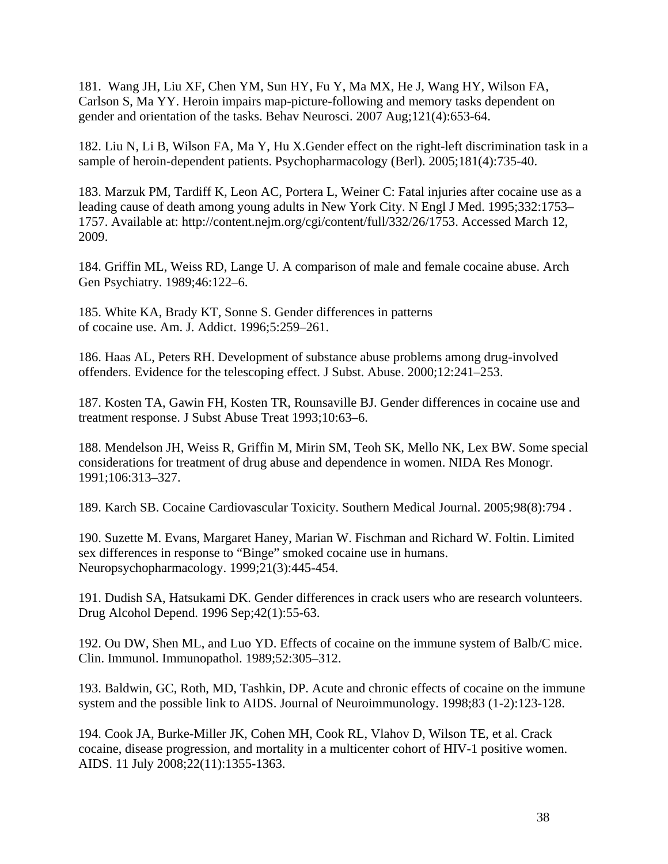181. Wang JH, Liu XF, Chen YM, Sun HY, Fu Y, Ma MX, He J, Wang HY, Wilson FA, Carlson S, Ma YY. Heroin impairs map-picture-following and memory tasks dependent on gender and orientation of the tasks. Behav Neurosci. 2007 Aug;121(4):653-64.

182. Liu N, Li B, Wilson FA, Ma Y, Hu X.Gender effect on the right-left discrimination task in a sample of heroin-dependent patients. Psychopharmacology (Berl). 2005;181(4):735-40.

183. Marzuk PM, Tardiff K, Leon AC, Portera L, Weiner C: Fatal injuries after cocaine use as a leading cause of death among young adults in New York City. N Engl J Med. 1995;332:1753– 1757. Available at: http://content.nejm.org/cgi/content/full/332/26/1753. Accessed March 12, 2009.

184. Griffin ML, Weiss RD, Lange U. A comparison of male and female cocaine abuse. Arch Gen Psychiatry. 1989;46:122–6.

185. White KA, Brady KT, Sonne S. Gender differences in patterns of cocaine use. Am. J. Addict. 1996;5:259–261.

186. Haas AL, Peters RH. Development of substance abuse problems among drug-involved offenders. Evidence for the telescoping effect. J Subst. Abuse. 2000;12:241–253.

187. Kosten TA, Gawin FH, Kosten TR, Rounsaville BJ. Gender differences in cocaine use and treatment response. J Subst Abuse Treat 1993;10:63–6.

188. Mendelson JH, Weiss R, Griffin M, Mirin SM, Teoh SK, Mello NK, Lex BW. Some special considerations for treatment of drug abuse and dependence in women. NIDA Res Monogr. 1991;106:313–327.

189. Karch SB. Cocaine Cardiovascular Toxicity. Southern Medical Journal. 2005;98(8):794 .

190. Suzette M. Evans, Margaret Haney, Marian W. Fischman and Richard W. Foltin. Limited sex differences in response to "Binge" smoked cocaine use in humans. Neuropsychopharmacology. 1999;21(3):445-454.

191. Dudish SA, Hatsukami DK. Gender differences in crack users who are research volunteers. Drug Alcohol Depend. 1996 Sep;42(1):55-63.

192. Ou DW, Shen ML, and Luo YD. Effects of cocaine on the immune system of Balb/C mice. Clin. Immunol. Immunopathol. 1989;52:305–312.

193. Baldwin, GC, Roth, MD, Tashkin, DP. Acute and chronic effects of cocaine on the immune system and the possible link to AIDS. Journal of Neuroimmunology. 1998;83 (1-2):123-128.

194. Cook JA, Burke-Miller JK, Cohen MH, Cook RL, Vlahov D, Wilson TE, et al. Crack cocaine, disease progression, and mortality in a multicenter cohort of HIV-1 positive women. AIDS. 11 July 2008;22(11):1355-1363.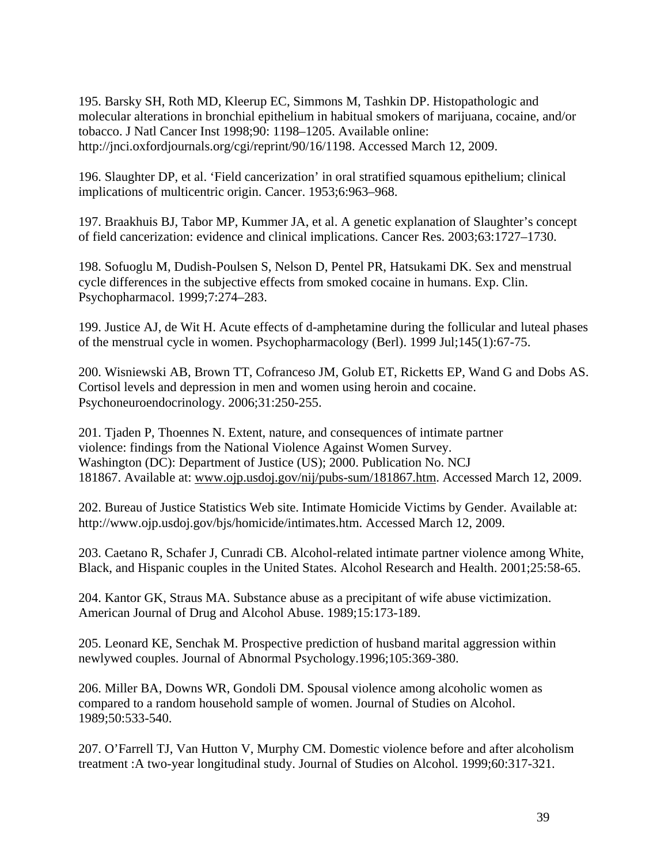195. Barsky SH, Roth MD, Kleerup EC, Simmons M, Tashkin DP. Histopathologic and molecular alterations in bronchial epithelium in habitual smokers of marijuana, cocaine, and/or tobacco. J Natl Cancer Inst 1998;90: 1198–1205. Available online: http://jnci.oxfordjournals.org/cgi/reprint/90/16/1198. Accessed March 12, 2009.

196. Slaughter DP, et al. 'Field cancerization' in oral stratified squamous epithelium; clinical implications of multicentric origin. Cancer. 1953;6:963–968.

197. Braakhuis BJ, Tabor MP, Kummer JA, et al. A genetic explanation of Slaughter's concept of field cancerization: evidence and clinical implications. Cancer Res. 2003;63:1727–1730.

198. Sofuoglu M, Dudish-Poulsen S, Nelson D, Pentel PR, Hatsukami DK. Sex and menstrual cycle differences in the subjective effects from smoked cocaine in humans. Exp. Clin. Psychopharmacol. 1999;7:274–283.

199. Justice AJ, de Wit H. Acute effects of d-amphetamine during the follicular and luteal phases of the menstrual cycle in women. Psychopharmacology (Berl). 1999 Jul;145(1):67-75.

200. Wisniewski AB, Brown TT, Cofranceso JM, Golub ET, Ricketts EP, Wand G and Dobs AS. Cortisol levels and depression in men and women using heroin and cocaine. Psychoneuroendocrinology. 2006;31:250-255.

201. Tjaden P, Thoennes N. Extent, nature, and consequences of intimate partner violence: findings from the National Violence Against Women Survey. Washington (DC): Department of Justice (US); 2000. Publication No. NCJ 181867. Available at: [www.ojp.usdoj.gov/nij/pubs-sum/181867.htm.](http://www.ojp.usdoj.gov/nij/pubs-sum/181867.htm) Accessed March 12, 2009.

202. Bureau of Justice Statistics Web site. [Intimate Homicide Victims by Gender.](http://www.ojp.usdoj.gov/bjs/homicide/tables/intimatestab.htm) Available at: http://www.ojp.usdoj.gov/bjs/homicide/intimates.htm. Accessed March 12, 2009.

203. Caetano R, Schafer J, Cunradi CB. Alcohol-related intimate partner violence among White, Black, and Hispanic couples in the United States. Alcohol Research and Health. 2001;25:58-65.

204. Kantor GK, Straus MA. Substance abuse as a precipitant of wife abuse victimization. American Journal of Drug and Alcohol Abuse. 1989;15:173-189.

205. Leonard KE, Senchak M. Prospective prediction of husband marital aggression within newlywed couples. Journal of Abnormal Psychology.1996;105:369-380.

206. Miller BA, Downs WR, Gondoli DM. Spousal violence among alcoholic women as compared to a random household sample of women. Journal of Studies on Alcohol. 1989;50:533-540.

207. O'Farrell TJ, Van Hutton V, Murphy CM. Domestic violence before and after alcoholism treatment :A two-year longitudinal study. Journal of Studies on Alcohol. 1999;60:317-321.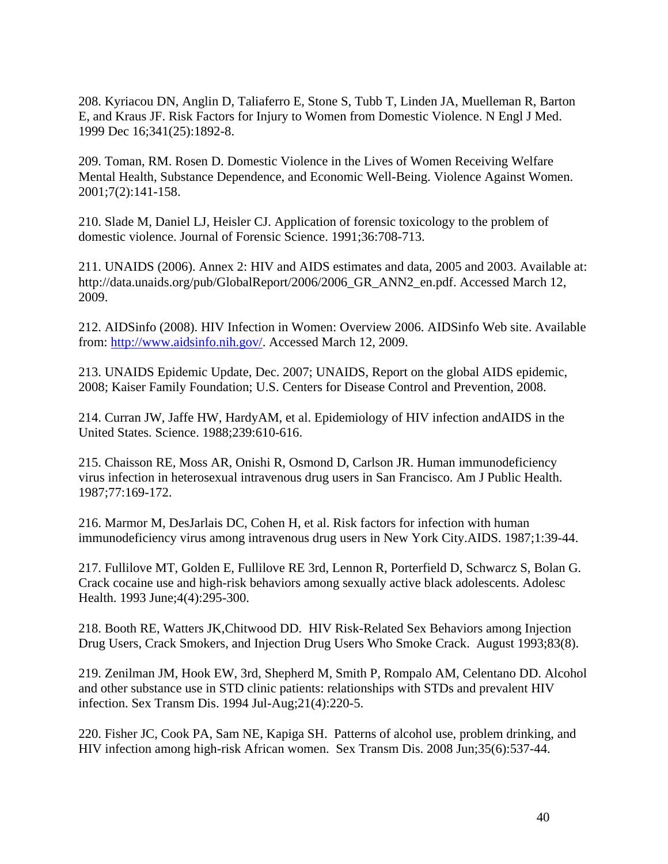208. Kyriacou DN, Anglin D, Taliaferro E, Stone S, Tubb T, Linden JA, Muelleman R, Barton E, and Kraus JF. Risk Factors for Injury to Women from Domestic Violence. N Engl J Med. 1999 Dec 16;341(25):1892-8.

209. Toman, RM. Rosen D. Domestic Violence in the Lives of Women Receiving Welfare Mental Health, Substance Dependence, and Economic Well-Being. Violence Against Women. 2001;7(2):141-158.

210. Slade M, Daniel LJ, Heisler CJ. Application of forensic toxicology to the problem of domestic violence. Journal of Forensic Science. 1991;36:708-713.

211. UNAIDS (2006). Annex 2: HIV and AIDS estimates and data, 2005 and 2003. Available at: [http://data.unaids.org/pub/GlobalReport/2006/2006\\_GR\\_ANN2\\_en.pdf.](http://data.unaids.org/pub/GlobalReport/2006/2006_GR_ANN2_en.pdf) Accessed March 12, 2009.

212. AIDSinfo (2008). HIV Infection in Women: Overview 2006. AIDSinfo Web site. Available from: [http://www.aidsinfo.nih.gov/.](http://www.aidsinfo.nih.gov/) Accessed March 12, 2009.

213. UNAIDS Epidemic Update, Dec. 2007; UNAIDS, Report on the global AIDS epidemic, 2008; Kaiser Family Foundation; U.S. Centers for Disease Control and Prevention, 2008.

214. Curran JW, Jaffe HW, HardyAM, et al. Epidemiology of HIV infection andAIDS in the United States. Science. 1988;239:610-616.

215. Chaisson RE, Moss AR, Onishi R, Osmond D, Carlson JR. Human immunodeficiency virus infection in heterosexual intravenous drug users in San Francisco. Am J Public Health. 1987;77:169-172.

216. Marmor M, DesJarlais DC, Cohen H, et al. Risk factors for infection with human immunodeficiency virus among intravenous drug users in New York City.AIDS. 1987;1:39-44.

217. Fullilove MT, Golden E, Fullilove RE 3rd, Lennon R, Porterfield D, Schwarcz S, Bolan G. Crack cocaine use and high-risk behaviors among sexually active black adolescents. Adolesc Health. 1993 June;4(4):295-300.

218. Booth RE, Watters JK,Chitwood DD. HIV Risk-Related Sex Behaviors among Injection Drug Users, Crack Smokers, and Injection Drug Users Who Smoke Crack. August 1993;83(8).

219. Zenilman JM, Hook EW, 3rd, Shepherd M, Smith P, Rompalo AM, Celentano DD. Alcohol and other substance use in STD clinic patients: relationships with STDs and prevalent HIV infection. Sex Transm Dis. 1994 Jul-Aug;21(4):220-5.

220. Fisher JC, Cook PA, Sam NE, Kapiga SH. Patterns of alcohol use, problem drinking, and HIV infection among high-risk African women. Sex Transm Dis. 2008 Jun;35(6):537-44.